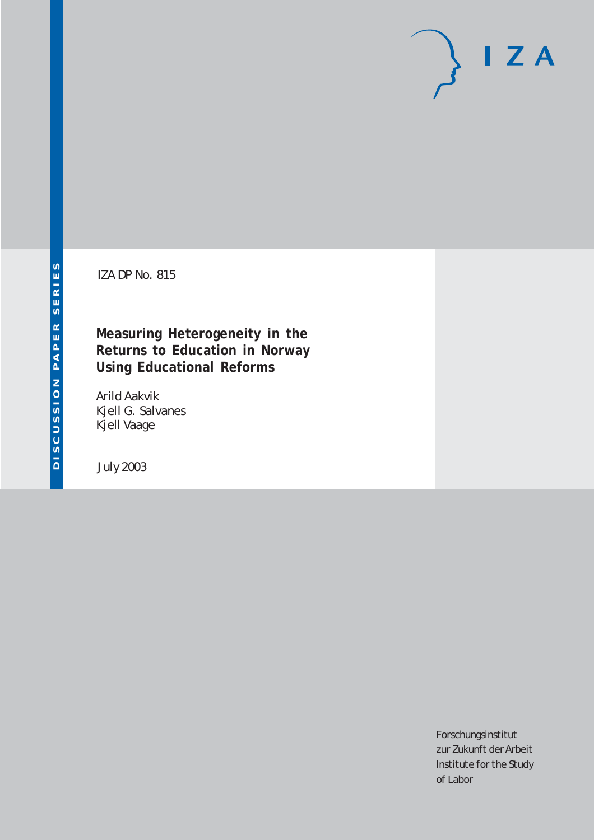# $I Z A$

IZA DP No. 815

## **Measuring Heterogeneity in the Returns to Education in Norway Using Educational Reforms**

Arild Aakvik Kjell G. Salvanes Kjell Vaage

July 2003

Forschungsinstitut zur Zukunft der Arbeit Institute for the Study of Labor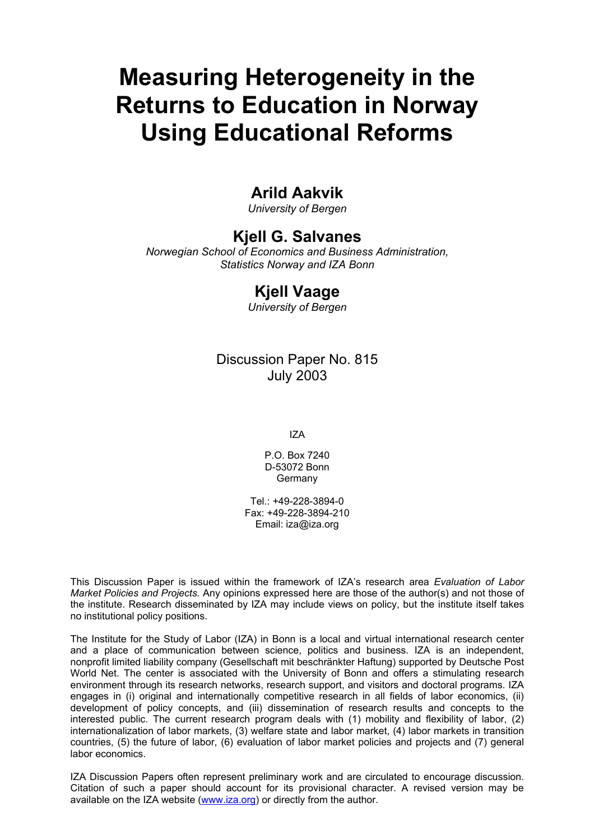# **Measuring Heterogeneity in the Returns to Education in Norway Using Educational Reforms**

## **Arild Aakvik**

*University of Bergen* 

## **Kjell G. Salvanes**

*Norwegian School of Economics and Business Administration, Statistics Norway and IZA Bonn* 

## **Kjell Vaage**

*University of Bergen* 

## Discussion Paper No. 815 July 2003

IZA

P.O. Box 7240 D-53072 Bonn Germany

Tel.: +49-228-3894-0 Fax: +49-228-3894-210 Email: [iza@iza.org](mailto:iza@iza.org)

This Discussion Paper is issued within the framework of IZA's research area *Evaluation of Labor Market Policies and Projects.* Any opinions expressed here are those of the author(s) and not those of the institute. Research disseminated by IZA may include views on policy, but the institute itself takes no institutional policy positions.

The Institute for the Study of Labor (IZA) in Bonn is a local and virtual international research center and a place of communication between science, politics and business. IZA is an independent, nonprofit limited liability company (Gesellschaft mit beschränkter Haftung) supported by Deutsche Post World Net. The center is associated with the University of Bonn and offers a stimulating research environment through its research networks, research support, and visitors and doctoral programs. IZA engages in (i) original and internationally competitive research in all fields of labor economics, (ii) development of policy concepts, and (iii) dissemination of research results and concepts to the interested public. The current research program deals with (1) mobility and flexibility of labor, (2) internationalization of labor markets, (3) welfare state and labor market, (4) labor markets in transition countries, (5) the future of labor, (6) evaluation of labor market policies and projects and (7) general labor economics.

IZA Discussion Papers often represent preliminary work and are circulated to encourage discussion. Citation of such a paper should account for its provisional character. A revised version may be available on the IZA website ([www.iza.org](http://www.iza.org/)) or directly from the author.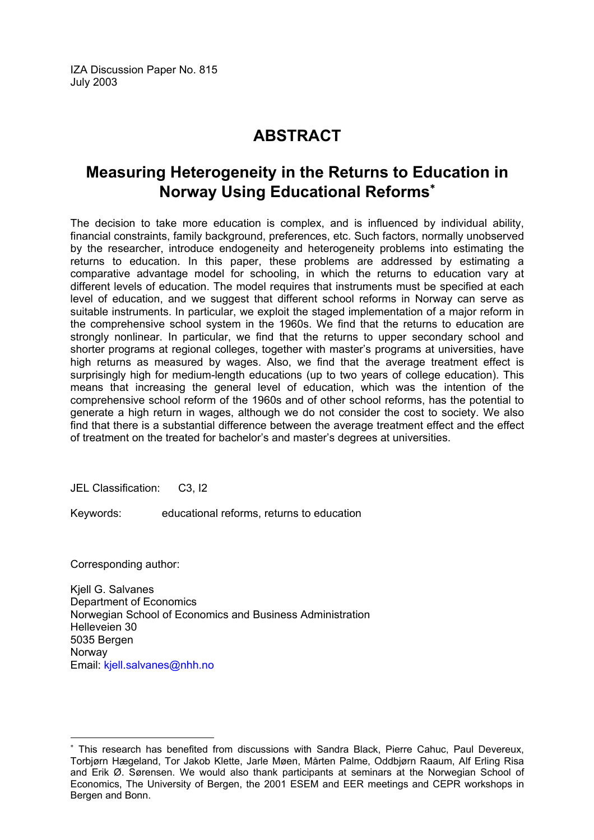IZA Discussion Paper No. 815 July 2003

## **ABSTRACT**

## **Measuring Heterogeneity in the Returns to Education in Norway Using Educational Reforms**[∗](#page-2-0)

The decision to take more education is complex, and is influenced by individual ability, financial constraints, family background, preferences, etc. Such factors, normally unobserved by the researcher, introduce endogeneity and heterogeneity problems into estimating the returns to education. In this paper, these problems are addressed by estimating a comparative advantage model for schooling, in which the returns to education vary at different levels of education. The model requires that instruments must be specified at each level of education, and we suggest that different school reforms in Norway can serve as suitable instruments. In particular, we exploit the staged implementation of a major reform in the comprehensive school system in the 1960s. We find that the returns to education are strongly nonlinear. In particular, we find that the returns to upper secondary school and shorter programs at regional colleges, together with master's programs at universities, have high returns as measured by wages. Also, we find that the average treatment effect is surprisingly high for medium-length educations (up to two years of college education). This means that increasing the general level of education, which was the intention of the comprehensive school reform of the 1960s and of other school reforms, has the potential to generate a high return in wages, although we do not consider the cost to society. We also find that there is a substantial difference between the average treatment effect and the effect of treatment on the treated for bachelor's and master's degrees at universities.

JEL Classification: C3, I2

Keywords: educational reforms, returns to education

Corresponding author:

 $\overline{a}$ 

Kjell G. Salvanes Department of Economics Norwegian School of Economics and Business Administration Helleveien 30 5035 Bergen Norway Email: [kjell.salvanes@nhh.no](mailto:kjell.salvanes@nhh.no)

<span id="page-2-0"></span><sup>∗</sup> This research has benefited from discussions with Sandra Black, Pierre Cahuc, Paul Devereux, Torbjørn Hægeland, Tor Jakob Klette, Jarle Møen, Mårten Palme, Oddbjørn Raaum, Alf Erling Risa and Erik Ø. Sørensen. We would also thank participants at seminars at the Norwegian School of Economics, The University of Bergen, the 2001 ESEM and EER meetings and CEPR workshops in Bergen and Bonn.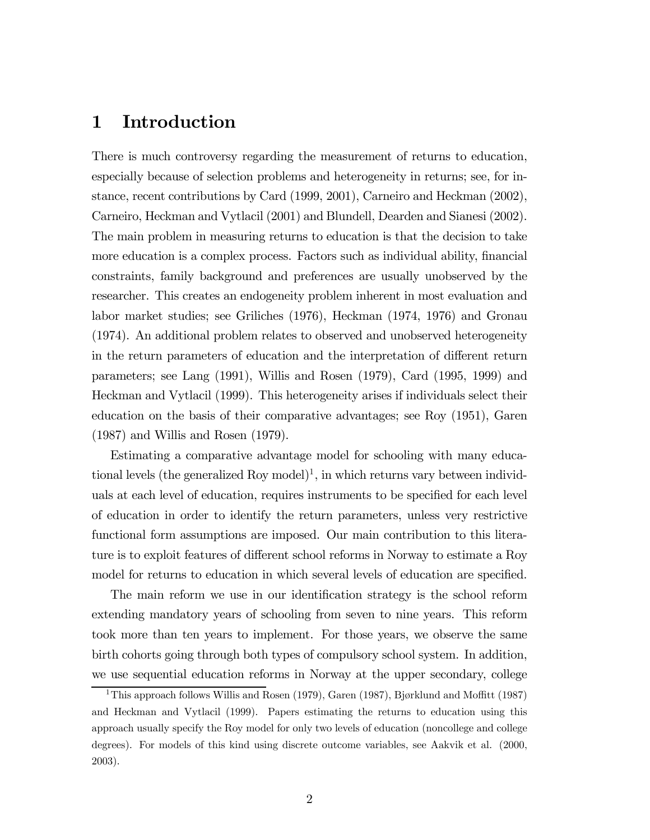## 1 Introduction

There is much controversy regarding the measurement of returns to education, especially because of selection problems and heterogeneity in returns; see, for instance, recent contributions by Card (1999, 2001), Carneiro and Heckman (2002), Carneiro, Heckman and Vytlacil (2001) and Blundell, Dearden and Sianesi (2002). The main problem in measuring returns to education is that the decision to take more education is a complex process. Factors such as individual ability, financial constraints, family background and preferences are usually unobserved by the researcher. This creates an endogeneity problem inherent in most evaluation and labor market studies; see Griliches (1976), Heckman (1974, 1976) and Gronau (1974). An additional problem relates to observed and unobserved heterogeneity in the return parameters of education and the interpretation of different return parameters; see Lang (1991), Willis and Rosen (1979), Card (1995, 1999) and Heckman and Vytlacil (1999). This heterogeneity arises if individuals select their education on the basis of their comparative advantages; see Roy (1951), Garen (1987) and Willis and Rosen (1979).

Estimating a comparative advantage model for schooling with many educational levels (the generalized Roy model)<sup>1</sup>, in which returns vary between individuals at each level of education, requires instruments to be specified for each level of education in order to identify the return parameters, unless very restrictive functional form assumptions are imposed. Our main contribution to this literature is to exploit features of different school reforms in Norway to estimate a Roy model for returns to education in which several levels of education are specified.

The main reform we use in our identification strategy is the school reform extending mandatory years of schooling from seven to nine years. This reform took more than ten years to implement. For those years, we observe the same birth cohorts going through both types of compulsory school system. In addition, we use sequential education reforms in Norway at the upper secondary, college

<sup>&</sup>lt;sup>1</sup>This approach follows Willis and Rosen (1979), Garen (1987), Bjørklund and Moffitt (1987) and Heckman and Vytlacil (1999). Papers estimating the returns to education using this approach usually specify the Roy model for only two levels of education (noncollege and college degrees). For models of this kind using discrete outcome variables, see Aakvik et al. (2000, 2003).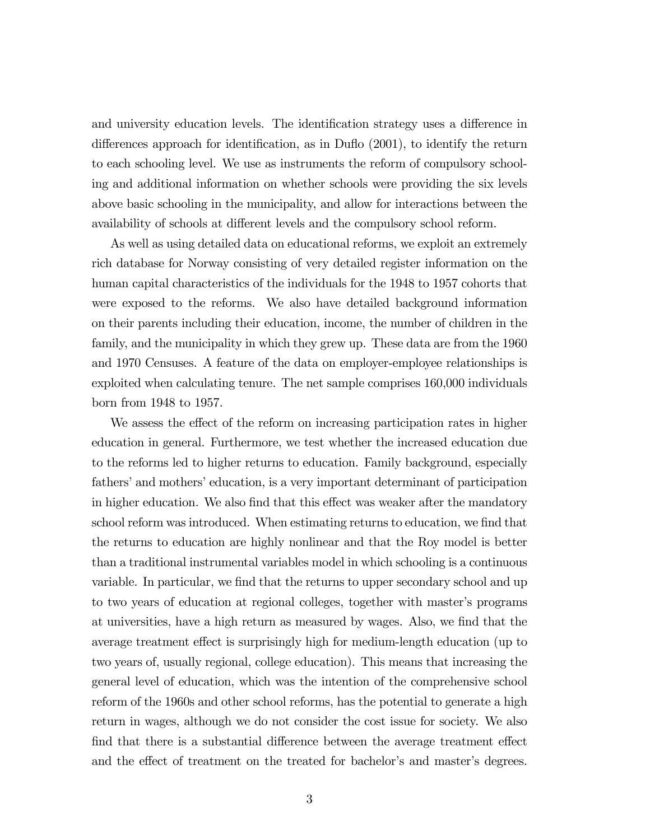and university education levels. The identification strategy uses a difference in differences approach for identification, as in Duflo (2001), to identify the return to each schooling level. We use as instruments the reform of compulsory schooling and additional information on whether schools were providing the six levels above basic schooling in the municipality, and allow for interactions between the availability of schools at different levels and the compulsory school reform.

As well as using detailed data on educational reforms, we exploit an extremely rich database for Norway consisting of very detailed register information on the human capital characteristics of the individuals for the 1948 to 1957 cohorts that were exposed to the reforms. We also have detailed background information on their parents including their education, income, the number of children in the family, and the municipality in which they grew up. These data are from the 1960 and 1970 Censuses. A feature of the data on employer-employee relationships is exploited when calculating tenure. The net sample comprises 160,000 individuals born from 1948 to 1957.

We assess the effect of the reform on increasing participation rates in higher education in general. Furthermore, we test whether the increased education due to the reforms led to higher returns to education. Family background, especially fathers' and mothers' education, is a very important determinant of participation in higher education. We also find that this effect was weaker after the mandatory school reform was introduced. When estimating returns to education, we find that the returns to education are highly nonlinear and that the Roy model is better than a traditional instrumental variables model in which schooling is a continuous variable. In particular, we find that the returns to upper secondary school and up to two years of education at regional colleges, together with master's programs at universities, have a high return as measured by wages. Also, we find that the average treatment effect is surprisingly high for medium-length education (up to two years of, usually regional, college education). This means that increasing the general level of education, which was the intention of the comprehensive school reform of the 1960s and other school reforms, has the potential to generate a high return in wages, although we do not consider the cost issue for society. We also find that there is a substantial difference between the average treatment effect and the effect of treatment on the treated for bachelor's and master's degrees.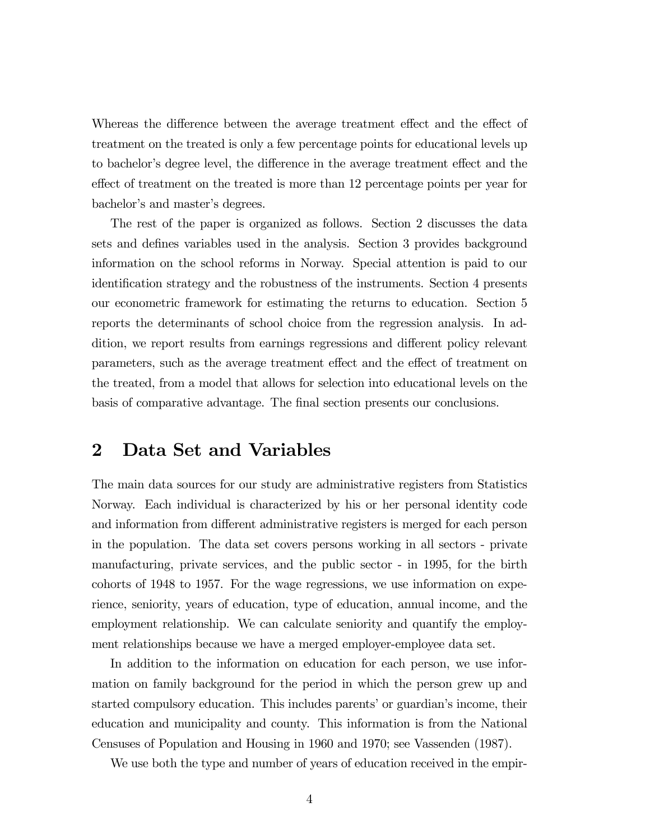Whereas the difference between the average treatment effect and the effect of treatment on the treated is only a few percentage points for educational levels up to bachelor's degree level, the difference in the average treatment effect and the effect of treatment on the treated is more than 12 percentage points per year for bachelor's and master's degrees.

The rest of the paper is organized as follows. Section 2 discusses the data sets and defines variables used in the analysis. Section 3 provides background information on the school reforms in Norway. Special attention is paid to our identification strategy and the robustness of the instruments. Section 4 presents our econometric framework for estimating the returns to education. Section 5 reports the determinants of school choice from the regression analysis. In addition, we report results from earnings regressions and different policy relevant parameters, such as the average treatment effect and the effect of treatment on the treated, from a model that allows for selection into educational levels on the basis of comparative advantage. The final section presents our conclusions.

## 2 Data Set and Variables

The main data sources for our study are administrative registers from Statistics Norway. Each individual is characterized by his or her personal identity code and information from different administrative registers is merged for each person in the population. The data set covers persons working in all sectors - private manufacturing, private services, and the public sector - in 1995, for the birth cohorts of 1948 to 1957. For the wage regressions, we use information on experience, seniority, years of education, type of education, annual income, and the employment relationship. We can calculate seniority and quantify the employment relationships because we have a merged employer-employee data set.

In addition to the information on education for each person, we use information on family background for the period in which the person grew up and started compulsory education. This includes parents' or guardian's income, their education and municipality and county. This information is from the National Censuses of Population and Housing in 1960 and 1970; see Vassenden (1987).

We use both the type and number of years of education received in the empir-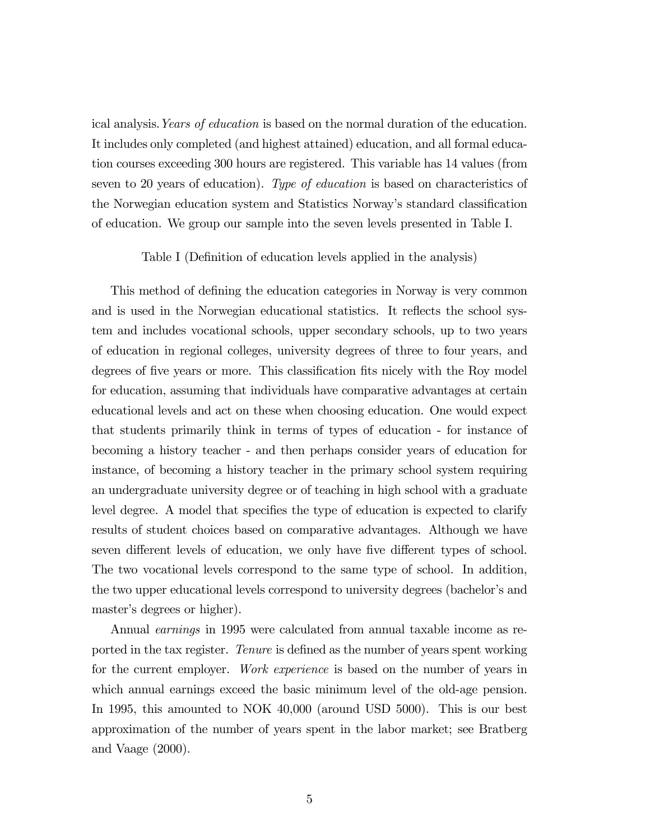ical analysis.Years of education is based on the normal duration of the education. It includes only completed (and highest attained) education, and all formal education courses exceeding 300 hours are registered. This variable has 14 values (from seven to 20 years of education). Type of education is based on characteristics of the Norwegian education system and Statistics Norway's standard classification of education. We group our sample into the seven levels presented in Table I.

#### Table I (Definition of education levels applied in the analysis)

This method of defining the education categories in Norway is very common and is used in the Norwegian educational statistics. It reflects the school system and includes vocational schools, upper secondary schools, up to two years of education in regional colleges, university degrees of three to four years, and degrees of five years or more. This classification fits nicely with the Roy model for education, assuming that individuals have comparative advantages at certain educational levels and act on these when choosing education. One would expect that students primarily think in terms of types of education - for instance of becoming a history teacher - and then perhaps consider years of education for instance, of becoming a history teacher in the primary school system requiring an undergraduate university degree or of teaching in high school with a graduate level degree. A model that specifies the type of education is expected to clarify results of student choices based on comparative advantages. Although we have seven different levels of education, we only have five different types of school. The two vocational levels correspond to the same type of school. In addition, the two upper educational levels correspond to university degrees (bachelor's and master's degrees or higher).

Annual *earnings* in 1995 were calculated from annual taxable income as reported in the tax register. Tenure is defined as the number of years spent working for the current employer. Work experience is based on the number of years in which annual earnings exceed the basic minimum level of the old-age pension. In 1995, this amounted to NOK 40,000 (around USD 5000). This is our best approximation of the number of years spent in the labor market; see Bratberg and Vaage (2000).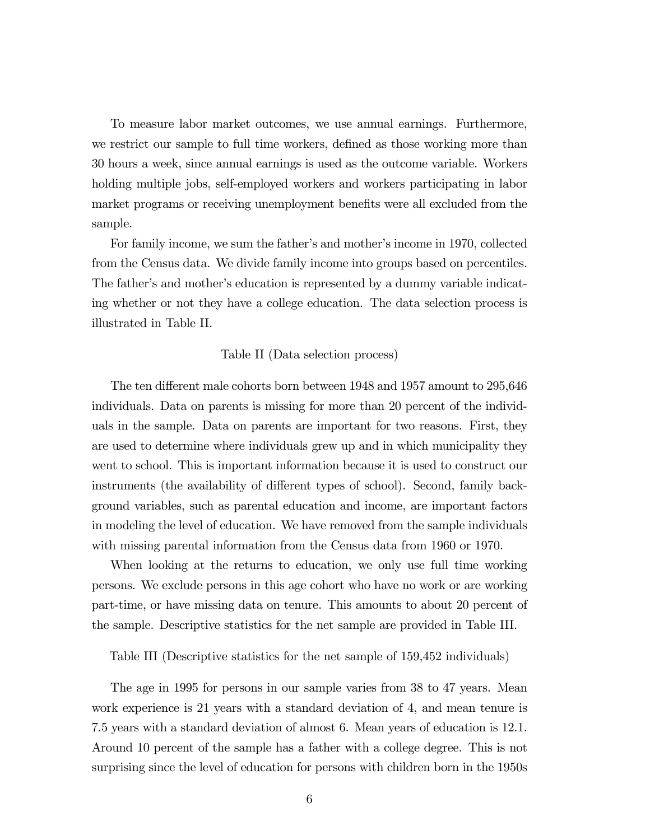To measure labor market outcomes, we use annual earnings. Furthermore, we restrict our sample to full time workers, defined as those working more than 30 hours a week, since annual earnings is used as the outcome variable. Workers holding multiple jobs, self-employed workers and workers participating in labor market programs or receiving unemployment benefits were all excluded from the sample.

For family income, we sum the father's and mother's income in 1970, collected from the Census data. We divide family income into groups based on percentiles. The father's and mother's education is represented by a dummy variable indicating whether or not they have a college education. The data selection process is illustrated in Table II.

#### Table II (Data selection process)

The ten different male cohorts born between 1948 and 1957 amount to 295,646 individuals. Data on parents is missing for more than 20 percent of the individuals in the sample. Data on parents are important for two reasons. First, they are used to determine where individuals grew up and in which municipality they went to school. This is important information because it is used to construct our instruments (the availability of different types of school). Second, family background variables, such as parental education and income, are important factors in modeling the level of education. We have removed from the sample individuals with missing parental information from the Census data from 1960 or 1970.

When looking at the returns to education, we only use full time working persons. We exclude persons in this age cohort who have no work or are working part-time, or have missing data on tenure. This amounts to about 20 percent of the sample. Descriptive statistics for the net sample are provided in Table III.

Table III (Descriptive statistics for the net sample of 159,452 individuals)

The age in 1995 for persons in our sample varies from 38 to 47 years. Mean work experience is 21 years with a standard deviation of 4, and mean tenure is 7.5 years with a standard deviation of almost 6. Mean years of education is 12.1. Around 10 percent of the sample has a father with a college degree. This is not surprising since the level of education for persons with children born in the 1950s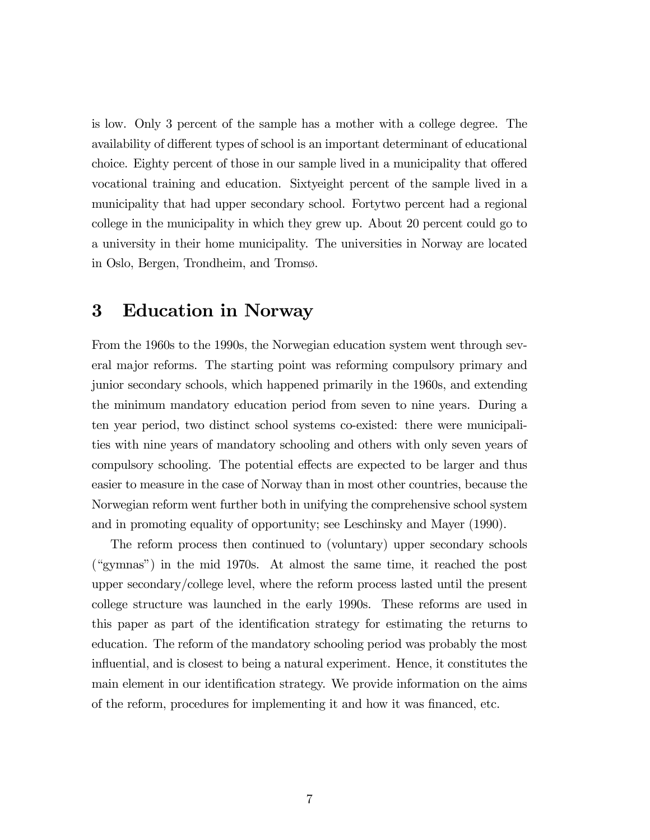is low. Only 3 percent of the sample has a mother with a college degree. The availability of different types of school is an important determinant of educational choice. Eighty percent of those in our sample lived in a municipality that offered vocational training and education. Sixtyeight percent of the sample lived in a municipality that had upper secondary school. Fortytwo percent had a regional college in the municipality in which they grew up. About 20 percent could go to a university in their home municipality. The universities in Norway are located in Oslo, Bergen, Trondheim, and Tromsø.

## 3 Education in Norway

From the 1960s to the 1990s, the Norwegian education system went through several major reforms. The starting point was reforming compulsory primary and junior secondary schools, which happened primarily in the 1960s, and extending the minimum mandatory education period from seven to nine years. During a ten year period, two distinct school systems co-existed: there were municipalities with nine years of mandatory schooling and others with only seven years of compulsory schooling. The potential effects are expected to be larger and thus easier to measure in the case of Norway than in most other countries, because the Norwegian reform went further both in unifying the comprehensive school system and in promoting equality of opportunity; see Leschinsky and Mayer (1990).

The reform process then continued to (voluntary) upper secondary schools ("gymnas") in the mid 1970s. At almost the same time, it reached the post upper secondary/college level, where the reform process lasted until the present college structure was launched in the early 1990s. These reforms are used in this paper as part of the identification strategy for estimating the returns to education. The reform of the mandatory schooling period was probably the most influential, and is closest to being a natural experiment. Hence, it constitutes the main element in our identification strategy. We provide information on the aims of the reform, procedures for implementing it and how it was financed, etc.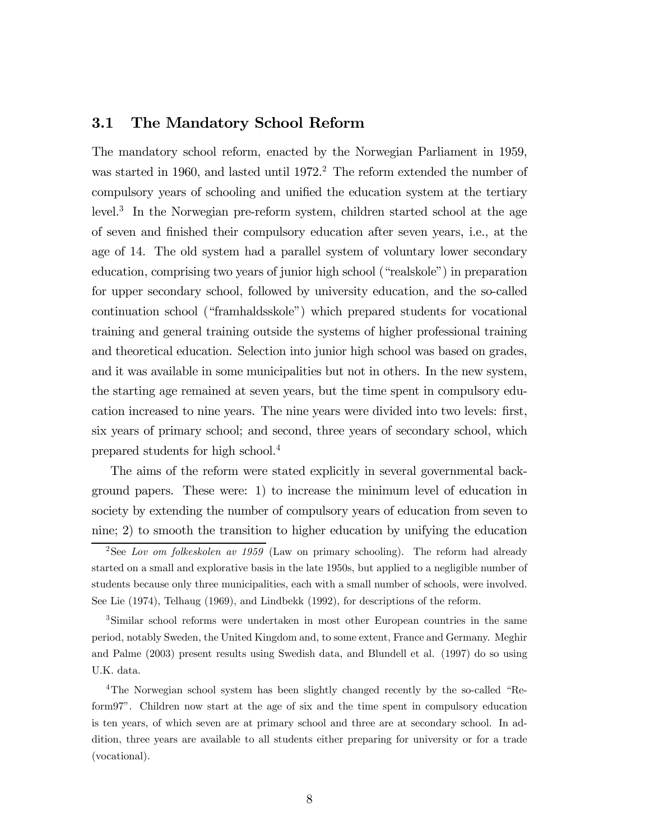#### 3.1 The Mandatory School Reform

The mandatory school reform, enacted by the Norwegian Parliament in 1959, was started in 1960, and lasted until  $1972<sup>2</sup>$ . The reform extended the number of compulsory years of schooling and unified the education system at the tertiary level.3 In the Norwegian pre-reform system, children started school at the age of seven and finished their compulsory education after seven years, i.e., at the age of 14. The old system had a parallel system of voluntary lower secondary education, comprising two years of junior high school ("realskole") in preparation for upper secondary school, followed by university education, and the so-called continuation school ("framhaldsskole") which prepared students for vocational training and general training outside the systems of higher professional training and theoretical education. Selection into junior high school was based on grades, and it was available in some municipalities but not in others. In the new system, the starting age remained at seven years, but the time spent in compulsory education increased to nine years. The nine years were divided into two levels: first, six years of primary school; and second, three years of secondary school, which prepared students for high school.<sup>4</sup>

The aims of the reform were stated explicitly in several governmental background papers. These were: 1) to increase the minimum level of education in society by extending the number of compulsory years of education from seven to nine; 2) to smooth the transition to higher education by unifying the education

3Similar school reforms were undertaken in most other European countries in the same period, notably Sweden, the United Kingdom and, to some extent, France and Germany. Meghir and Palme (2003) present results using Swedish data, and Blundell et al. (1997) do so using U.K. data.

<sup>&</sup>lt;sup>2</sup>See Lov om folkeskolen av 1959 (Law on primary schooling). The reform had already started on a small and explorative basis in the late 1950s, but applied to a negligible number of students because only three municipalities, each with a small number of schools, were involved. See Lie (1974), Telhaug (1969), and Lindbekk (1992), for descriptions of the reform.

<sup>4</sup>The Norwegian school system has been slightly changed recently by the so-called "Reform97". Children now start at the age of six and the time spent in compulsory education is ten years, of which seven are at primary school and three are at secondary school. In addition, three years are available to all students either preparing for university or for a trade (vocational).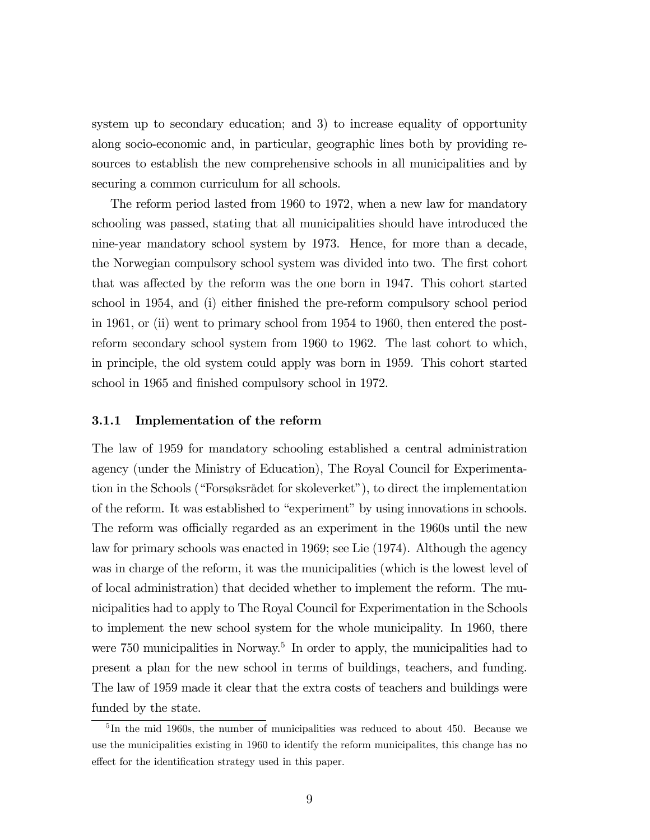system up to secondary education; and 3) to increase equality of opportunity along socio-economic and, in particular, geographic lines both by providing resources to establish the new comprehensive schools in all municipalities and by securing a common curriculum for all schools.

The reform period lasted from 1960 to 1972, when a new law for mandatory schooling was passed, stating that all municipalities should have introduced the nine-year mandatory school system by 1973. Hence, for more than a decade, the Norwegian compulsory school system was divided into two. The first cohort that was affected by the reform was the one born in 1947. This cohort started school in 1954, and (i) either finished the pre-reform compulsory school period in 1961, or (ii) went to primary school from 1954 to 1960, then entered the postreform secondary school system from 1960 to 1962. The last cohort to which, in principle, the old system could apply was born in 1959. This cohort started school in 1965 and finished compulsory school in 1972.

#### 3.1.1 Implementation of the reform

The law of 1959 for mandatory schooling established a central administration agency (under the Ministry of Education), The Royal Council for Experimentation in the Schools ("Forsøksrådet for skoleverket"), to direct the implementation of the reform. It was established to "experiment" by using innovations in schools. The reform was officially regarded as an experiment in the 1960s until the new law for primary schools was enacted in 1969; see Lie (1974). Although the agency was in charge of the reform, it was the municipalities (which is the lowest level of of local administration) that decided whether to implement the reform. The municipalities had to apply to The Royal Council for Experimentation in the Schools to implement the new school system for the whole municipality. In 1960, there were  $750$  municipalities in Norway.<sup>5</sup> In order to apply, the municipalities had to present a plan for the new school in terms of buildings, teachers, and funding. The law of 1959 made it clear that the extra costs of teachers and buildings were funded by the state.

 $5$ In the mid 1960s, the number of municipalities was reduced to about 450. Because we use the municipalities existing in 1960 to identify the reform municipalites, this change has no effect for the identification strategy used in this paper.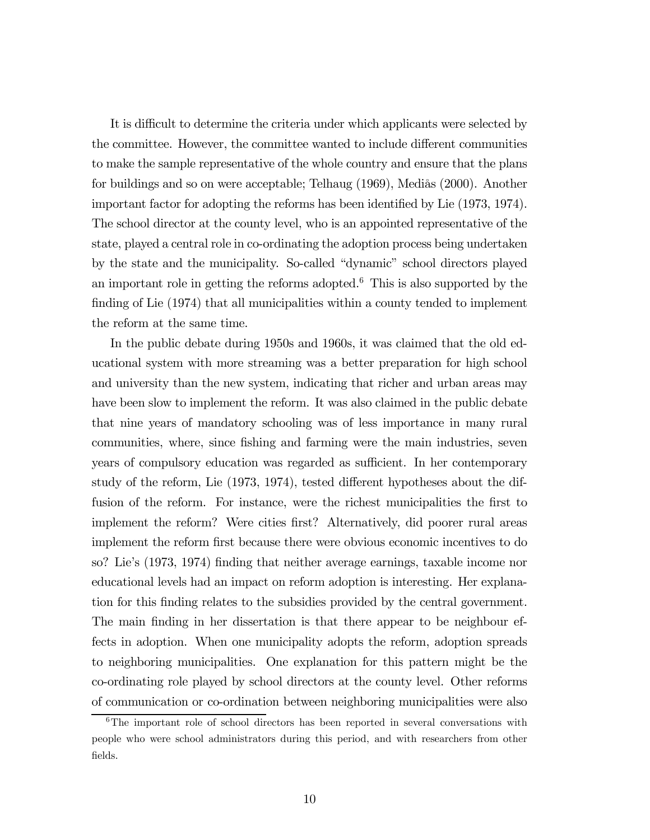It is difficult to determine the criteria under which applicants were selected by the committee. However, the committee wanted to include different communities to make the sample representative of the whole country and ensure that the plans for buildings and so on were acceptable; Telhaug (1969), Mediås (2000). Another important factor for adopting the reforms has been identified by Lie (1973, 1974). The school director at the county level, who is an appointed representative of the state, played a central role in co-ordinating the adoption process being undertaken by the state and the municipality. So-called "dynamic" school directors played an important role in getting the reforms adopted.<sup>6</sup> This is also supported by the finding of Lie (1974) that all municipalities within a county tended to implement the reform at the same time.

In the public debate during 1950s and 1960s, it was claimed that the old educational system with more streaming was a better preparation for high school and university than the new system, indicating that richer and urban areas may have been slow to implement the reform. It was also claimed in the public debate that nine years of mandatory schooling was of less importance in many rural communities, where, since fishing and farming were the main industries, seven years of compulsory education was regarded as sufficient. In her contemporary study of the reform, Lie (1973, 1974), tested different hypotheses about the diffusion of the reform. For instance, were the richest municipalities the first to implement the reform? Were cities first? Alternatively, did poorer rural areas implement the reform first because there were obvious economic incentives to do so? Lie's (1973, 1974) finding that neither average earnings, taxable income nor educational levels had an impact on reform adoption is interesting. Her explanation for this finding relates to the subsidies provided by the central government. The main finding in her dissertation is that there appear to be neighbour effects in adoption. When one municipality adopts the reform, adoption spreads to neighboring municipalities. One explanation for this pattern might be the co-ordinating role played by school directors at the county level. Other reforms of communication or co-ordination between neighboring municipalities were also

<sup>6</sup>The important role of school directors has been reported in several conversations with people who were school administrators during this period, and with researchers from other fields.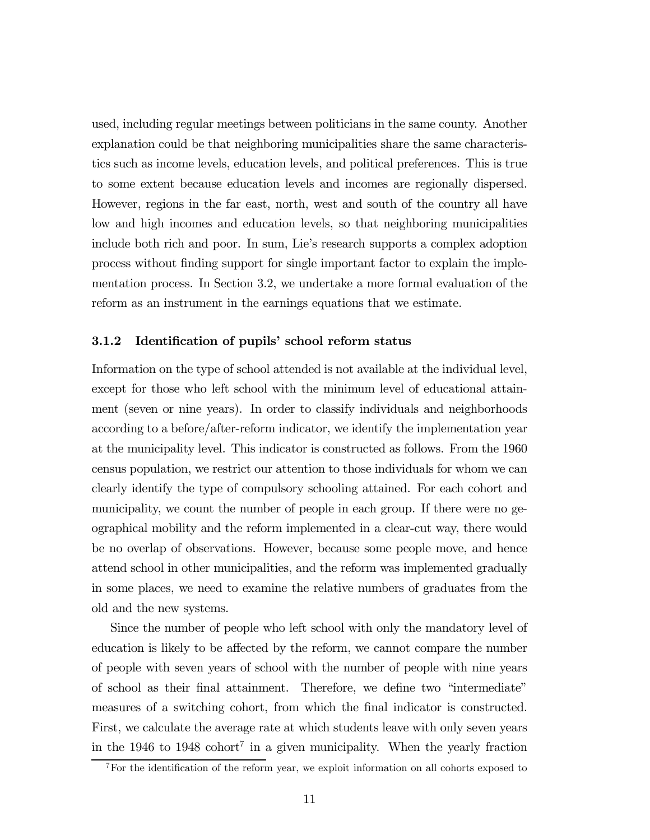used, including regular meetings between politicians in the same county. Another explanation could be that neighboring municipalities share the same characteristics such as income levels, education levels, and political preferences. This is true to some extent because education levels and incomes are regionally dispersed. However, regions in the far east, north, west and south of the country all have low and high incomes and education levels, so that neighboring municipalities include both rich and poor. In sum, Lie's research supports a complex adoption process without finding support for single important factor to explain the implementation process. In Section 3.2, we undertake a more formal evaluation of the reform as an instrument in the earnings equations that we estimate.

#### 3.1.2 Identification of pupils' school reform status

Information on the type of school attended is not available at the individual level, except for those who left school with the minimum level of educational attainment (seven or nine years). In order to classify individuals and neighborhoods according to a before/after-reform indicator, we identify the implementation year at the municipality level. This indicator is constructed as follows. From the 1960 census population, we restrict our attention to those individuals for whom we can clearly identify the type of compulsory schooling attained. For each cohort and municipality, we count the number of people in each group. If there were no geographical mobility and the reform implemented in a clear-cut way, there would be no overlap of observations. However, because some people move, and hence attend school in other municipalities, and the reform was implemented gradually in some places, we need to examine the relative numbers of graduates from the old and the new systems.

Since the number of people who left school with only the mandatory level of education is likely to be affected by the reform, we cannot compare the number of people with seven years of school with the number of people with nine years of school as their final attainment. Therefore, we define two "intermediate" measures of a switching cohort, from which the final indicator is constructed. First, we calculate the average rate at which students leave with only seven years in the 1946 to 1948 cohort<sup>7</sup> in a given municipality. When the yearly fraction

<sup>7</sup>For the identification of the reform year, we exploit information on all cohorts exposed to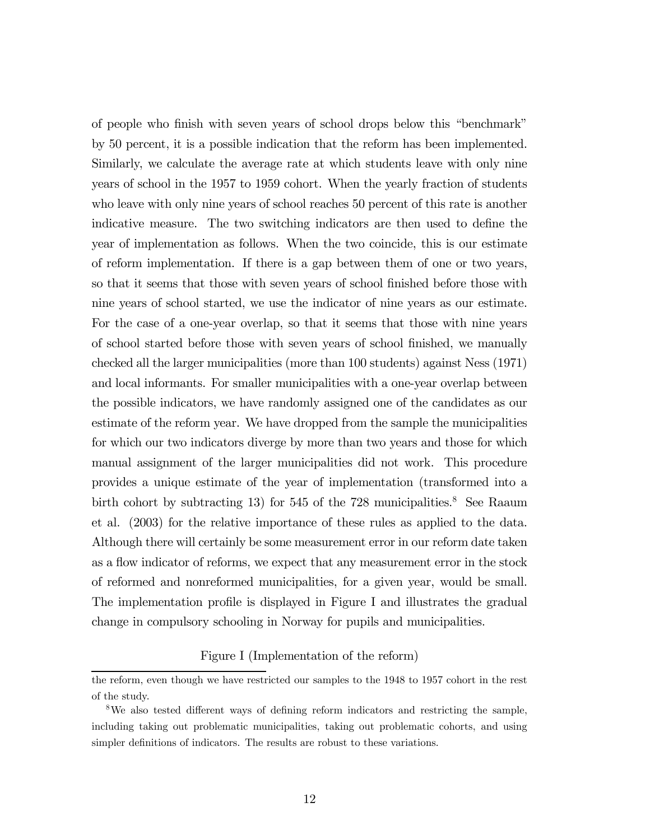of people who finish with seven years of school drops below this "benchmark" by 50 percent, it is a possible indication that the reform has been implemented. Similarly, we calculate the average rate at which students leave with only nine years of school in the 1957 to 1959 cohort. When the yearly fraction of students who leave with only nine years of school reaches 50 percent of this rate is another indicative measure. The two switching indicators are then used to define the year of implementation as follows. When the two coincide, this is our estimate of reform implementation. If there is a gap between them of one or two years, so that it seems that those with seven years of school finished before those with nine years of school started, we use the indicator of nine years as our estimate. For the case of a one-year overlap, so that it seems that those with nine years of school started before those with seven years of school finished, we manually checked all the larger municipalities (more than 100 students) against Ness (1971) and local informants. For smaller municipalities with a one-year overlap between the possible indicators, we have randomly assigned one of the candidates as our estimate of the reform year. We have dropped from the sample the municipalities for which our two indicators diverge by more than two years and those for which manual assignment of the larger municipalities did not work. This procedure provides a unique estimate of the year of implementation (transformed into a birth cohort by subtracting 13) for 545 of the 728 municipalities.<sup>8</sup> See Raaum et al. (2003) for the relative importance of these rules as applied to the data. Although there will certainly be some measurement error in our reform date taken as a flow indicator of reforms, we expect that any measurement error in the stock of reformed and nonreformed municipalities, for a given year, would be small. The implementation profile is displayed in Figure I and illustrates the gradual change in compulsory schooling in Norway for pupils and municipalities.

Figure I (Implementation of the reform)

the reform, even though we have restricted our samples to the 1948 to 1957 cohort in the rest of the study.

<sup>8</sup>We also tested different ways of defining reform indicators and restricting the sample, including taking out problematic municipalities, taking out problematic cohorts, and using simpler definitions of indicators. The results are robust to these variations.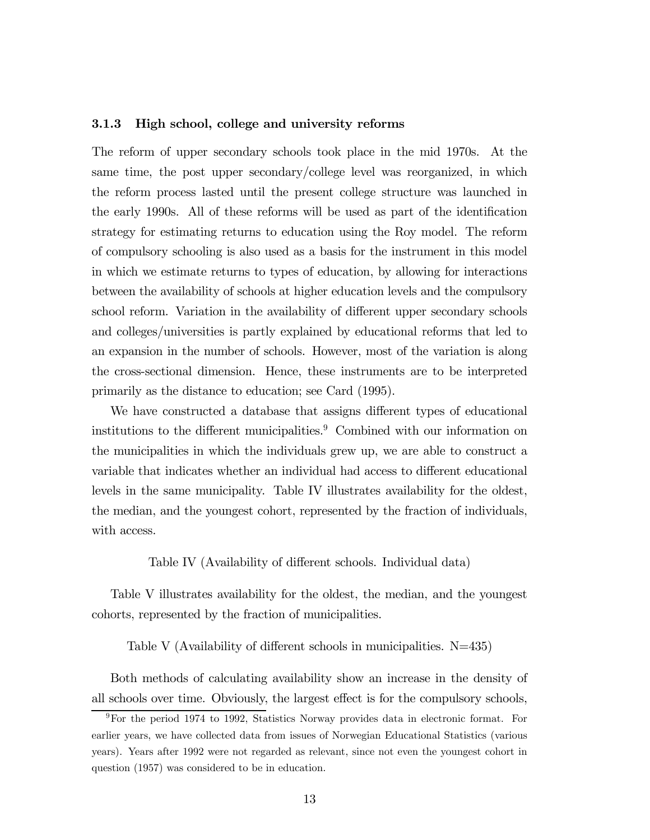#### 3.1.3 High school, college and university reforms

The reform of upper secondary schools took place in the mid 1970s. At the same time, the post upper secondary/college level was reorganized, in which the reform process lasted until the present college structure was launched in the early 1990s. All of these reforms will be used as part of the identification strategy for estimating returns to education using the Roy model. The reform of compulsory schooling is also used as a basis for the instrument in this model in which we estimate returns to types of education, by allowing for interactions between the availability of schools at higher education levels and the compulsory school reform. Variation in the availability of different upper secondary schools and colleges/universities is partly explained by educational reforms that led to an expansion in the number of schools. However, most of the variation is along the cross-sectional dimension. Hence, these instruments are to be interpreted primarily as the distance to education; see Card (1995).

We have constructed a database that assigns different types of educational institutions to the different municipalities.<sup>9</sup> Combined with our information on the municipalities in which the individuals grew up, we are able to construct a variable that indicates whether an individual had access to different educational levels in the same municipality. Table IV illustrates availability for the oldest, the median, and the youngest cohort, represented by the fraction of individuals, with access.

#### Table IV (Availability of different schools. Individual data)

Table V illustrates availability for the oldest, the median, and the youngest cohorts, represented by the fraction of municipalities.

Table V (Availability of different schools in municipalities. N=435)

Both methods of calculating availability show an increase in the density of all schools over time. Obviously, the largest effect is for the compulsory schools,

<sup>9</sup>For the period 1974 to 1992, Statistics Norway provides data in electronic format. For earlier years, we have collected data from issues of Norwegian Educational Statistics (various years). Years after 1992 were not regarded as relevant, since not even the youngest cohort in question (1957) was considered to be in education.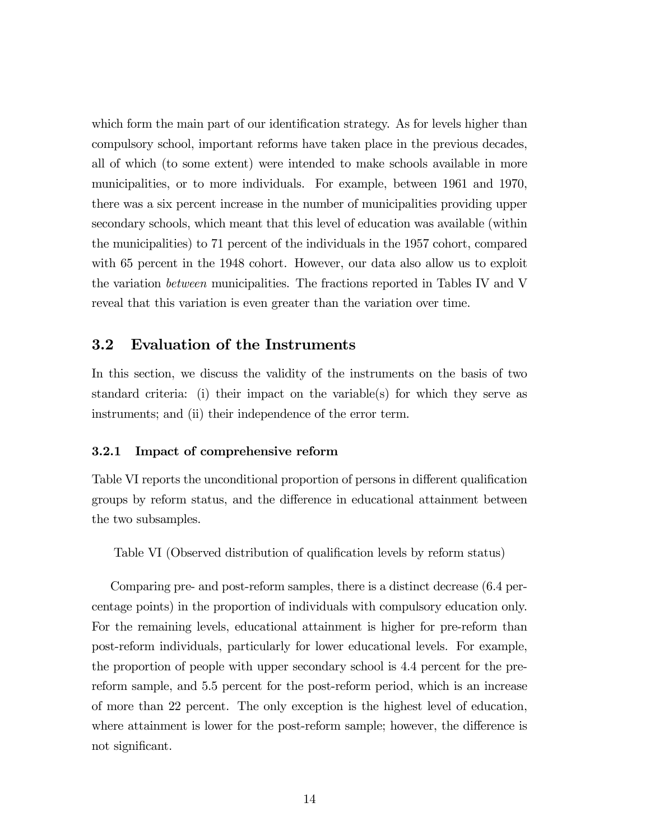which form the main part of our identification strategy. As for levels higher than compulsory school, important reforms have taken place in the previous decades, all of which (to some extent) were intended to make schools available in more municipalities, or to more individuals. For example, between 1961 and 1970, there was a six percent increase in the number of municipalities providing upper secondary schools, which meant that this level of education was available (within the municipalities) to 71 percent of the individuals in the 1957 cohort, compared with 65 percent in the 1948 cohort. However, our data also allow us to exploit the variation between municipalities. The fractions reported in Tables IV and V reveal that this variation is even greater than the variation over time.

#### 3.2 Evaluation of the Instruments

In this section, we discuss the validity of the instruments on the basis of two standard criteria: (i) their impact on the variable(s) for which they serve as instruments; and (ii) their independence of the error term.

#### 3.2.1 Impact of comprehensive reform

Table VI reports the unconditional proportion of persons in different qualification groups by reform status, and the difference in educational attainment between the two subsamples.

Table VI (Observed distribution of qualification levels by reform status)

Comparing pre- and post-reform samples, there is a distinct decrease (6.4 percentage points) in the proportion of individuals with compulsory education only. For the remaining levels, educational attainment is higher for pre-reform than post-reform individuals, particularly for lower educational levels. For example, the proportion of people with upper secondary school is 4.4 percent for the prereform sample, and 5.5 percent for the post-reform period, which is an increase of more than 22 percent. The only exception is the highest level of education, where attainment is lower for the post-reform sample; however, the difference is not significant.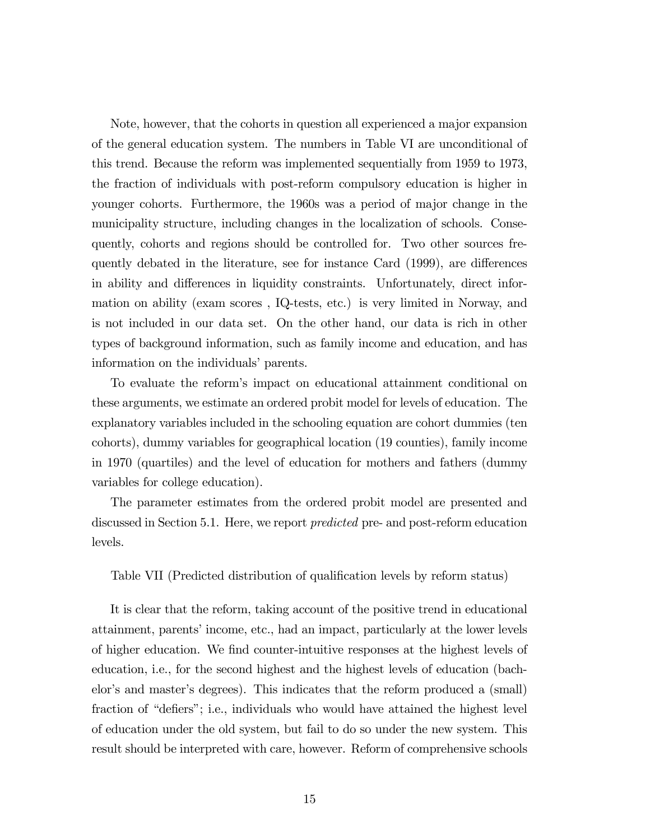Note, however, that the cohorts in question all experienced a major expansion of the general education system. The numbers in Table VI are unconditional of this trend. Because the reform was implemented sequentially from 1959 to 1973, the fraction of individuals with post-reform compulsory education is higher in younger cohorts. Furthermore, the 1960s was a period of major change in the municipality structure, including changes in the localization of schools. Consequently, cohorts and regions should be controlled for. Two other sources frequently debated in the literature, see for instance Card (1999), are differences in ability and differences in liquidity constraints. Unfortunately, direct information on ability (exam scores , IQ-tests, etc.) is very limited in Norway, and is not included in our data set. On the other hand, our data is rich in other types of background information, such as family income and education, and has information on the individuals' parents.

To evaluate the reform's impact on educational attainment conditional on these arguments, we estimate an ordered probit model for levels of education. The explanatory variables included in the schooling equation are cohort dummies (ten cohorts), dummy variables for geographical location (19 counties), family income in 1970 (quartiles) and the level of education for mothers and fathers (dummy variables for college education).

The parameter estimates from the ordered probit model are presented and discussed in Section 5.1. Here, we report predicted pre- and post-reform education levels.

Table VII (Predicted distribution of qualification levels by reform status)

It is clear that the reform, taking account of the positive trend in educational attainment, parents' income, etc., had an impact, particularly at the lower levels of higher education. We find counter-intuitive responses at the highest levels of education, i.e., for the second highest and the highest levels of education (bachelor's and master's degrees). This indicates that the reform produced a (small) fraction of "defiers"; i.e., individuals who would have attained the highest level of education under the old system, but fail to do so under the new system. This result should be interpreted with care, however. Reform of comprehensive schools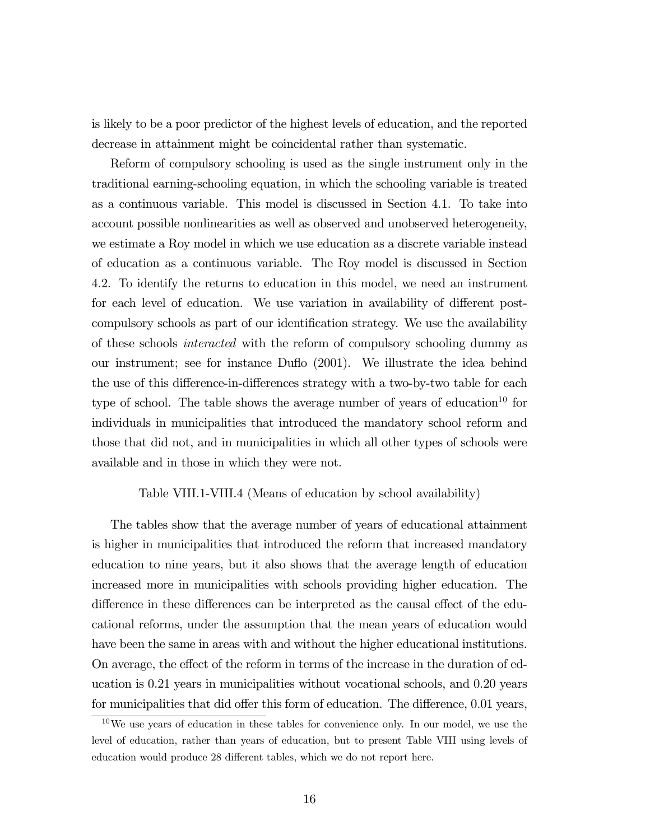is likely to be a poor predictor of the highest levels of education, and the reported decrease in attainment might be coincidental rather than systematic.

Reform of compulsory schooling is used as the single instrument only in the traditional earning-schooling equation, in which the schooling variable is treated as a continuous variable. This model is discussed in Section 4.1. To take into account possible nonlinearities as well as observed and unobserved heterogeneity, we estimate a Roy model in which we use education as a discrete variable instead of education as a continuous variable. The Roy model is discussed in Section 4.2. To identify the returns to education in this model, we need an instrument for each level of education. We use variation in availability of different postcompulsory schools as part of our identification strategy. We use the availability of these schools interacted with the reform of compulsory schooling dummy as our instrument; see for instance Duflo (2001). We illustrate the idea behind the use of this difference-in-differences strategy with a two-by-two table for each type of school. The table shows the average number of years of education<sup>10</sup> for individuals in municipalities that introduced the mandatory school reform and those that did not, and in municipalities in which all other types of schools were available and in those in which they were not.

#### Table VIII.1-VIII.4 (Means of education by school availability)

The tables show that the average number of years of educational attainment is higher in municipalities that introduced the reform that increased mandatory education to nine years, but it also shows that the average length of education increased more in municipalities with schools providing higher education. The difference in these differences can be interpreted as the causal effect of the educational reforms, under the assumption that the mean years of education would have been the same in areas with and without the higher educational institutions. On average, the effect of the reform in terms of the increase in the duration of education is 0.21 years in municipalities without vocational schools, and 0.20 years for municipalities that did offer this form of education. The difference, 0.01 years,

 $10$ We use years of education in these tables for convenience only. In our model, we use the level of education, rather than years of education, but to present Table VIII using levels of education would produce 28 different tables, which we do not report here.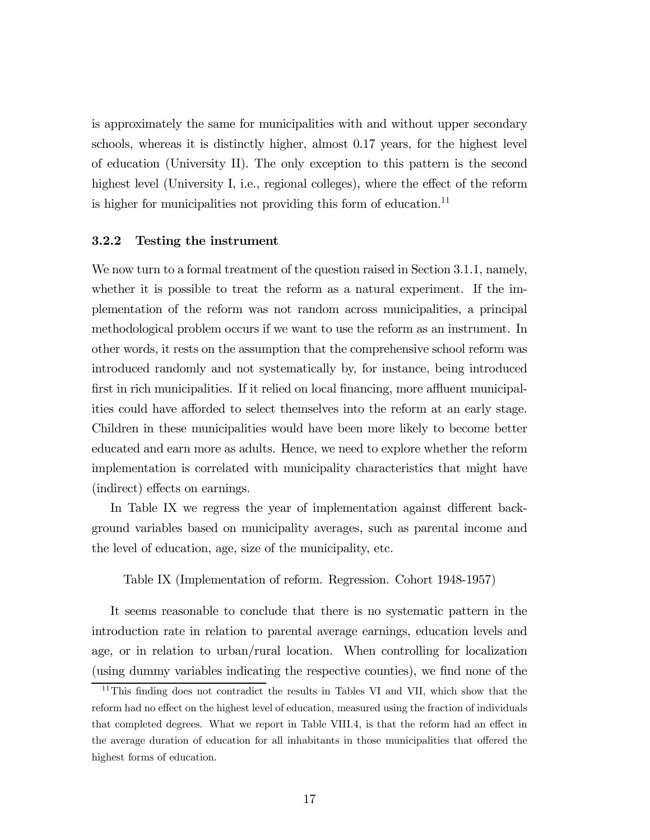is approximately the same for municipalities with and without upper secondary schools, whereas it is distinctly higher, almost 0.17 years, for the highest level of education (University II). The only exception to this pattern is the second highest level (University I, i.e., regional colleges), where the effect of the reform is higher for municipalities not providing this form of education.<sup>11</sup>

#### 3.2.2 Testing the instrument

We now turn to a formal treatment of the question raised in Section 3.1.1, namely, whether it is possible to treat the reform as a natural experiment. If the implementation of the reform was not random across municipalities, a principal methodological problem occurs if we want to use the reform as an instrument. In other words, it rests on the assumption that the comprehensive school reform was introduced randomly and not systematically by, for instance, being introduced first in rich municipalities. If it relied on local financing, more affluent municipalities could have afforded to select themselves into the reform at an early stage. Children in these municipalities would have been more likely to become better educated and earn more as adults. Hence, we need to explore whether the reform implementation is correlated with municipality characteristics that might have (indirect) effects on earnings.

In Table IX we regress the year of implementation against different background variables based on municipality averages, such as parental income and the level of education, age, size of the municipality, etc.

Table IX (Implementation of reform. Regression. Cohort 1948-1957)

It seems reasonable to conclude that there is no systematic pattern in the introduction rate in relation to parental average earnings, education levels and age, or in relation to urban/rural location. When controlling for localization (using dummy variables indicating the respective counties), we find none of the

<sup>&</sup>lt;sup>11</sup>This finding does not contradict the results in Tables VI and VII, which show that the reform had no effect on the highest level of education, measured using the fraction of individuals that completed degrees. What we report in Table VIII.4, is that the reform had an effect in the average duration of education for all inhabitants in those municipalities that offered the highest forms of education.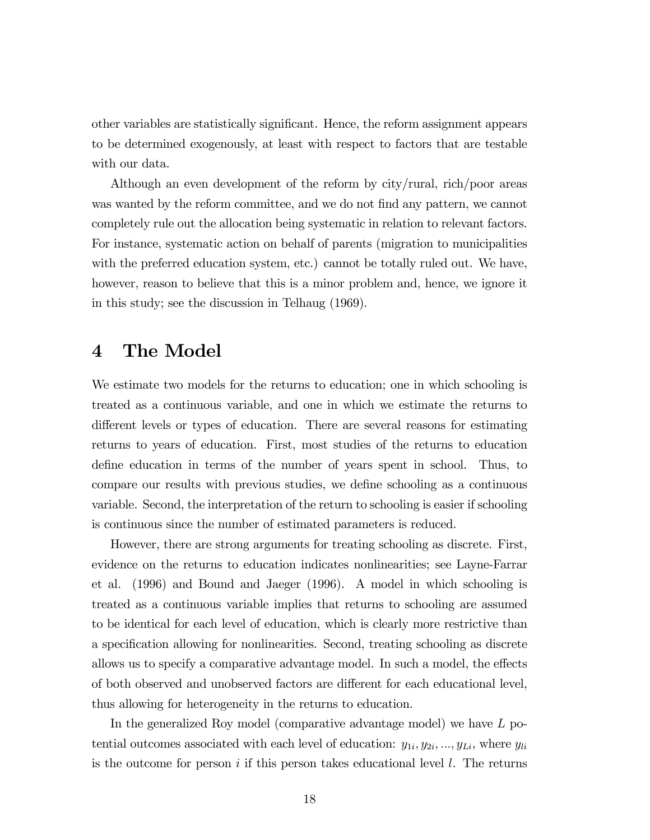other variables are statistically significant. Hence, the reform assignment appears to be determined exogenously, at least with respect to factors that are testable with our data.

Although an even development of the reform by city/rural, rich/poor areas was wanted by the reform committee, and we do not find any pattern, we cannot completely rule out the allocation being systematic in relation to relevant factors. For instance, systematic action on behalf of parents (migration to municipalities with the preferred education system, etc.) cannot be totally ruled out. We have, however, reason to believe that this is a minor problem and, hence, we ignore it in this study; see the discussion in Telhaug (1969).

## 4 The Model

We estimate two models for the returns to education; one in which schooling is treated as a continuous variable, and one in which we estimate the returns to different levels or types of education. There are several reasons for estimating returns to years of education. First, most studies of the returns to education define education in terms of the number of years spent in school. Thus, to compare our results with previous studies, we define schooling as a continuous variable. Second, the interpretation of the return to schooling is easier if schooling is continuous since the number of estimated parameters is reduced.

However, there are strong arguments for treating schooling as discrete. First, evidence on the returns to education indicates nonlinearities; see Layne-Farrar et al. (1996) and Bound and Jaeger (1996). A model in which schooling is treated as a continuous variable implies that returns to schooling are assumed to be identical for each level of education, which is clearly more restrictive than a specification allowing for nonlinearities. Second, treating schooling as discrete allows us to specify a comparative advantage model. In such a model, the effects of both observed and unobserved factors are different for each educational level, thus allowing for heterogeneity in the returns to education.

In the generalized Roy model (comparative advantage model) we have L potential outcomes associated with each level of education:  $y_{1i}, y_{2i}, ..., y_{Li}$ , where  $y_{li}$ is the outcome for person i if this person takes educational level  $l$ . The returns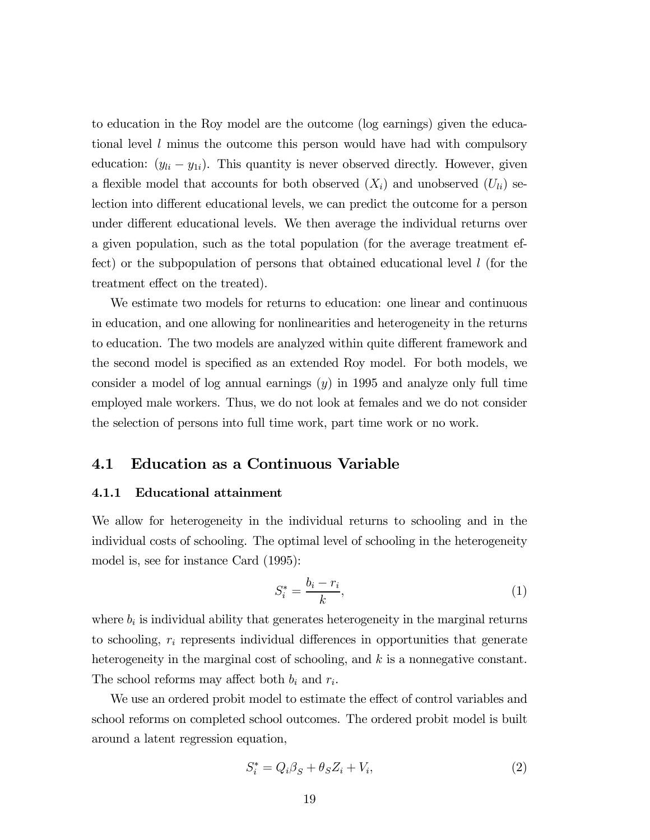to education in the Roy model are the outcome (log earnings) given the educational level l minus the outcome this person would have had with compulsory education:  $(y_{li} - y_{1i})$ . This quantity is never observed directly. However, given a flexible model that accounts for both observed  $(X_i)$  and unobserved  $(U_{li})$  selection into different educational levels, we can predict the outcome for a person under different educational levels. We then average the individual returns over a given population, such as the total population (for the average treatment effect) or the subpopulation of persons that obtained educational level  $l$  (for the treatment effect on the treated).

We estimate two models for returns to education: one linear and continuous in education, and one allowing for nonlinearities and heterogeneity in the returns to education. The two models are analyzed within quite different framework and the second model is specified as an extended Roy model. For both models, we consider a model of log annual earnings  $(y)$  in 1995 and analyze only full time employed male workers. Thus, we do not look at females and we do not consider the selection of persons into full time work, part time work or no work.

#### 4.1 Education as a Continuous Variable

#### 4.1.1 Educational attainment

We allow for heterogeneity in the individual returns to schooling and in the individual costs of schooling. The optimal level of schooling in the heterogeneity model is, see for instance Card (1995):

$$
S_i^* = \frac{b_i - r_i}{k},\tag{1}
$$

where  $b_i$  is individual ability that generates heterogeneity in the marginal returns to schooling,  $r_i$  represents individual differences in opportunities that generate heterogeneity in the marginal cost of schooling, and  $k$  is a nonnegative constant. The school reforms may affect both  $b_i$  and  $r_i$ .

We use an ordered probit model to estimate the effect of control variables and school reforms on completed school outcomes. The ordered probit model is built around a latent regression equation,

$$
S_i^* = Q_i \beta_S + \theta_S Z_i + V_i,\tag{2}
$$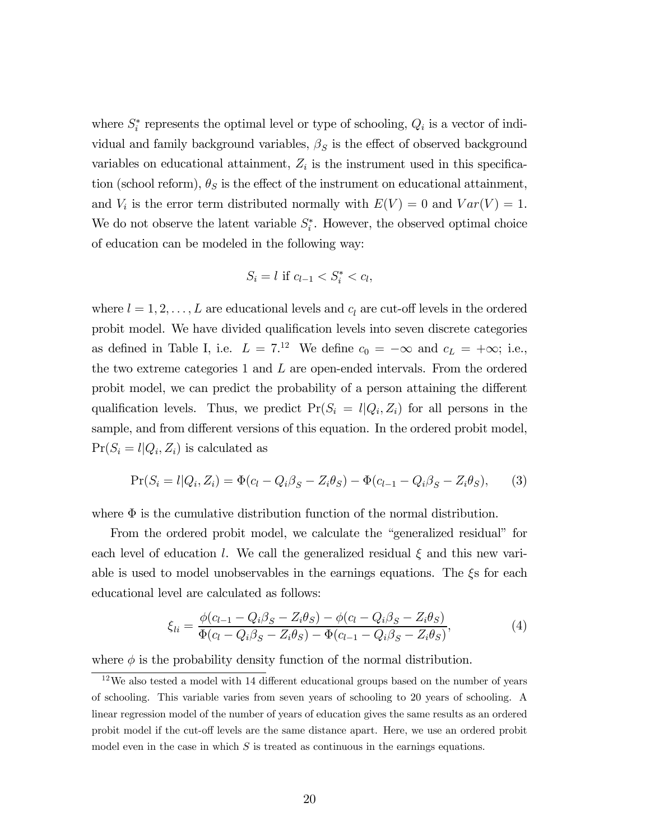where  $S_i^*$  represents the optimal level or type of schooling,  $Q_i$  is a vector of individual and family background variables,  $\beta_S$  is the effect of observed background variables on educational attainment,  $Z_i$  is the instrument used in this specification (school reform),  $\theta_S$  is the effect of the instrument on educational attainment, and  $V_i$  is the error term distributed normally with  $E(V) = 0$  and  $Var(V) = 1$ . We do not observe the latent variable  $S_i^*$ . However, the observed optimal choice of education can be modeled in the following way:

$$
S_i = l \text{ if } c_{l-1} < S_i^* < c_l,
$$

where  $l = 1, 2, \ldots, L$  are educational levels and  $c_l$  are cut-off levels in the ordered probit model. We have divided qualification levels into seven discrete categories as defined in Table I, i.e.  $L = 7^{12}$  We define  $c_0 = -\infty$  and  $c_L = +\infty$ ; i.e., the two extreme categories 1 and  $L$  are open-ended intervals. From the ordered probit model, we can predict the probability of a person attaining the different qualification levels. Thus, we predict  $Pr(S_i = l | Q_i, Z_i)$  for all persons in the sample, and from different versions of this equation. In the ordered probit model,  $Pr(S_i = l | Q_i, Z_i)$  is calculated as

$$
Pr(S_i = l | Q_i, Z_i) = \Phi(c_l - Q_i \beta_S - Z_i \theta_S) - \Phi(c_{l-1} - Q_i \beta_S - Z_i \theta_S),
$$
 (3)

where  $\Phi$  is the cumulative distribution function of the normal distribution.

From the ordered probit model, we calculate the "generalized residual" for each level of education l. We call the generalized residual  $\xi$  and this new variable is used to model unobservables in the earnings equations. The  $\xi s$  for each educational level are calculated as follows:

$$
\xi_{li} = \frac{\phi(c_{l-1} - Q_i\beta_S - Z_i\theta_S) - \phi(c_l - Q_i\beta_S - Z_i\theta_S)}{\Phi(c_l - Q_i\beta_S - Z_i\theta_S) - \Phi(c_{l-1} - Q_i\beta_S - Z_i\theta_S)},
$$
(4)

where  $\phi$  is the probability density function of the normal distribution.

 $12$ We also tested a model with 14 different educational groups based on the number of years of schooling. This variable varies from seven years of schooling to 20 years of schooling. A linear regression model of the number of years of education gives the same results as an ordered probit model if the cut-off levels are the same distance apart. Here, we use an ordered probit model even in the case in which  $S$  is treated as continuous in the earnings equations.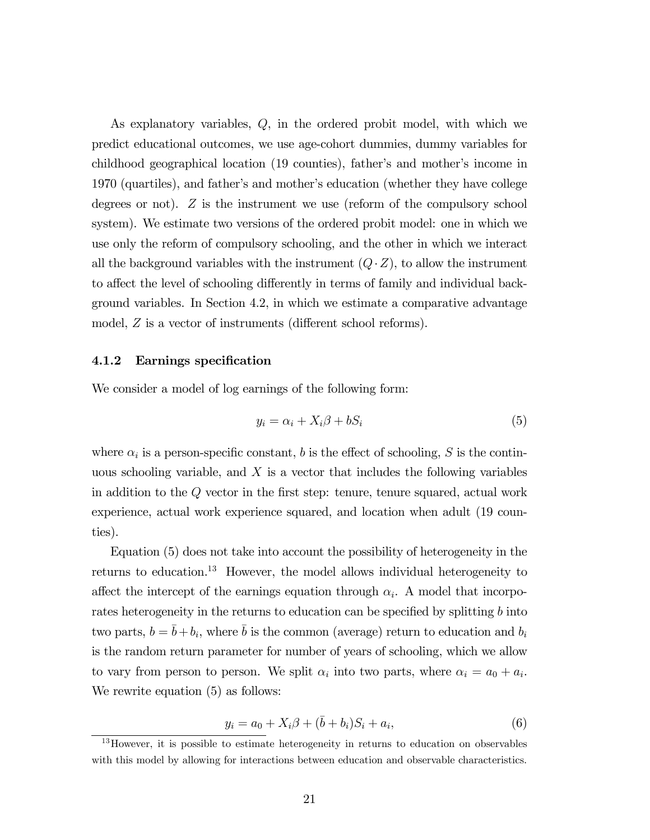As explanatory variables, Q, in the ordered probit model, with which we predict educational outcomes, we use age-cohort dummies, dummy variables for childhood geographical location (19 counties), father's and mother's income in 1970 (quartiles), and father's and mother's education (whether they have college degrees or not).  $Z$  is the instrument we use (reform of the compulsory school system). We estimate two versions of the ordered probit model: one in which we use only the reform of compulsory schooling, and the other in which we interact all the background variables with the instrument  $(Q \cdot Z)$ , to allow the instrument to affect the level of schooling differently in terms of family and individual background variables. In Section 4.2, in which we estimate a comparative advantage model, Z is a vector of instruments (different school reforms).

#### 4.1.2 Earnings specification

We consider a model of log earnings of the following form:

$$
y_i = \alpha_i + X_i \beta + b S_i \tag{5}
$$

where  $\alpha_i$  is a person-specific constant, b is the effect of schooling, S is the continuous schooling variable, and  $X$  is a vector that includes the following variables in addition to the Q vector in the first step: tenure, tenure squared, actual work experience, actual work experience squared, and location when adult (19 counties).

Equation (5) does not take into account the possibility of heterogeneity in the returns to education.13 However, the model allows individual heterogeneity to affect the intercept of the earnings equation through  $\alpha_i$ . A model that incorporates heterogeneity in the returns to education can be specified by splitting  $b$  into two parts,  $b = \bar{b} + b_i$ , where  $\bar{b}$  is the common (average) return to education and  $b_i$ is the random return parameter for number of years of schooling, which we allow to vary from person to person. We split  $\alpha_i$  into two parts, where  $\alpha_i = a_0 + a_i$ . We rewrite equation (5) as follows:

$$
y_i = a_0 + X_i \beta + (\bar{b} + b_i) S_i + a_i,
$$
\n(6)

<sup>&</sup>lt;sup>13</sup>However, it is possible to estimate heterogeneity in returns to education on observables with this model by allowing for interactions between education and observable characteristics.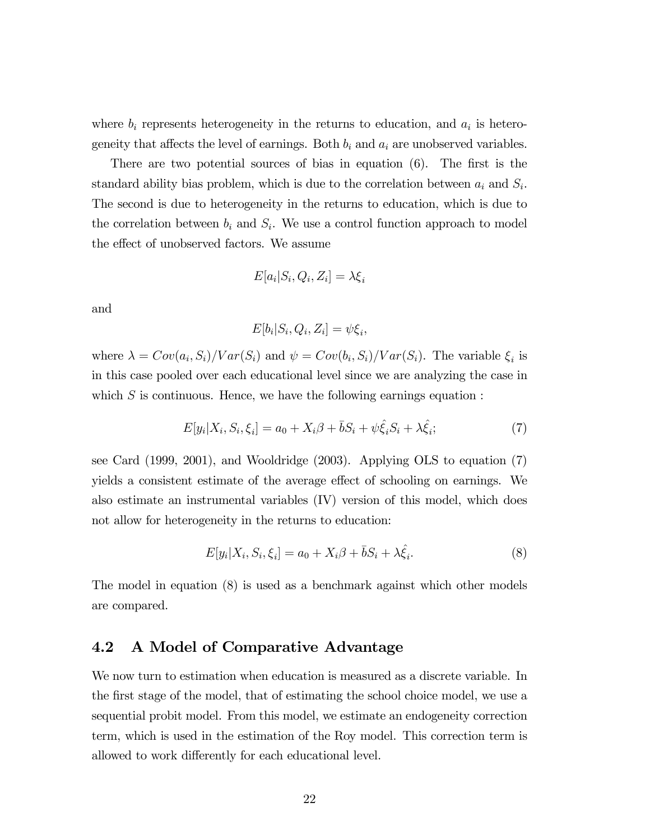where  $b_i$  represents heterogeneity in the returns to education, and  $a_i$  is heterogeneity that affects the level of earnings. Both  $b_i$  and  $a_i$  are unobserved variables.

There are two potential sources of bias in equation (6). The first is the standard ability bias problem, which is due to the correlation between  $a_i$  and  $S_i$ . The second is due to heterogeneity in the returns to education, which is due to the correlation between  $b_i$  and  $S_i$ . We use a control function approach to model the effect of unobserved factors. We assume

$$
E[a_i|S_i, Q_i, Z_i] = \lambda \xi_i
$$

and

$$
E[b_i|S_i, Q_i, Z_i] = \psi \xi_i,
$$

where  $\lambda = Cov(a_i, S_i)/Var(S_i)$  and  $\psi = Cov(b_i, S_i)/Var(S_i)$ . The variable  $\xi_i$  is in this case pooled over each educational level since we are analyzing the case in which  $S$  is continuous. Hence, we have the following earnings equation :

$$
E[y_i|X_i, S_i, \xi_i] = a_0 + X_i\beta + \bar{b}S_i + \psi\hat{\xi}_iS_i + \lambda\hat{\xi}_i;
$$
\n<sup>(7)</sup>

see Card (1999, 2001), and Wooldridge (2003). Applying OLS to equation (7) yields a consistent estimate of the average effect of schooling on earnings. We also estimate an instrumental variables (IV) version of this model, which does not allow for heterogeneity in the returns to education:

$$
E[y_i|X_i, S_i, \xi_i] = a_0 + X_i\beta + \bar{b}S_i + \lambda \hat{\xi}_i.
$$
\n
$$
(8)
$$

The model in equation (8) is used as a benchmark against which other models are compared.

#### 4.2 A Model of Comparative Advantage

We now turn to estimation when education is measured as a discrete variable. In the first stage of the model, that of estimating the school choice model, we use a sequential probit model. From this model, we estimate an endogeneity correction term, which is used in the estimation of the Roy model. This correction term is allowed to work differently for each educational level.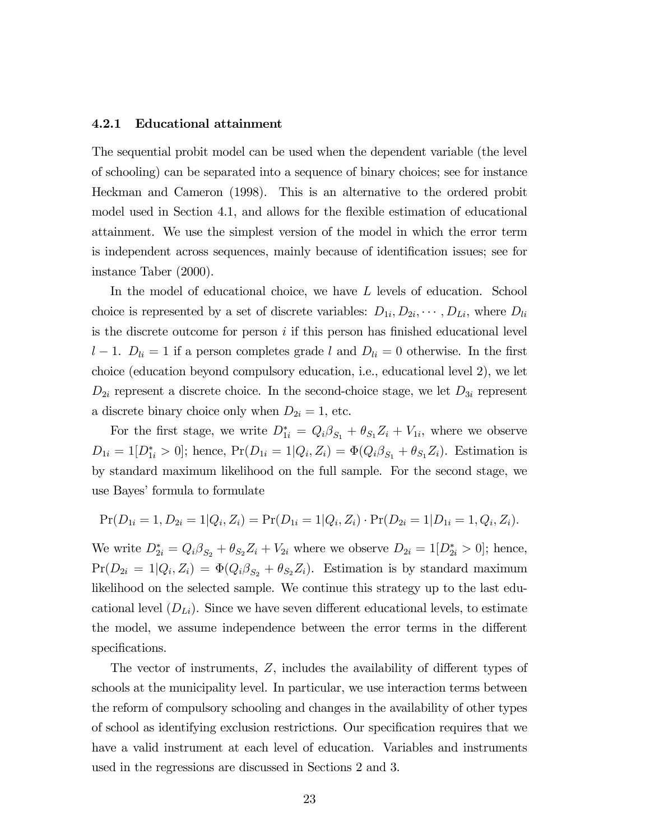#### 4.2.1 Educational attainment

The sequential probit model can be used when the dependent variable (the level of schooling) can be separated into a sequence of binary choices; see for instance Heckman and Cameron (1998). This is an alternative to the ordered probit model used in Section 4.1, and allows for the flexible estimation of educational attainment. We use the simplest version of the model in which the error term is independent across sequences, mainly because of identification issues; see for instance Taber (2000).

In the model of educational choice, we have L levels of education. School choice is represented by a set of discrete variables:  $D_{1i}, D_{2i}, \cdots, D_{Li}$ , where  $D_{li}$ is the discrete outcome for person  $i$  if this person has finished educational level l − 1.  $D_{li} = 1$  if a person completes grade l and  $D_{li} = 0$  otherwise. In the first choice (education beyond compulsory education, i.e., educational level 2), we let  $D_{2i}$  represent a discrete choice. In the second-choice stage, we let  $D_{3i}$  represent a discrete binary choice only when  $D_{2i} = 1$ , etc.

For the first stage, we write  $D_{1i}^* = Q_i \beta_{S_1} + \theta_{S_1} Z_i + V_{1i}$ , where we observe  $D_{1i} = 1[D_{1i}^* > 0]$ ; hence,  $Pr(D_{1i} = 1|Q_i, Z_i) = \Phi(Q_i \beta_{S_1} + \theta_{S_1} Z_i)$ . Estimation is by standard maximum likelihood on the full sample. For the second stage, we use Bayes' formula to formulate

$$
Pr(D_{1i} = 1, D_{2i} = 1 | Q_i, Z_i) = Pr(D_{1i} = 1 | Q_i, Z_i) \cdot Pr(D_{2i} = 1 | D_{1i} = 1, Q_i, Z_i).
$$

We write  $D_{2i}^* = Q_i \beta_{S_2} + \theta_{S_2} Z_i + V_{2i}$  where we observe  $D_{2i} = 1[D_{2i}^* > 0]$ ; hence,  $Pr(D_{2i} = 1|Q_i, Z_i) = \Phi(Q_i \beta_{S_2} + \theta_{S_2} Z_i)$ . Estimation is by standard maximum likelihood on the selected sample. We continue this strategy up to the last educational level  $(D_{Li})$ . Since we have seven different educational levels, to estimate the model, we assume independence between the error terms in the different specifications.

The vector of instruments, Z, includes the availability of different types of schools at the municipality level. In particular, we use interaction terms between the reform of compulsory schooling and changes in the availability of other types of school as identifying exclusion restrictions. Our specification requires that we have a valid instrument at each level of education. Variables and instruments used in the regressions are discussed in Sections 2 and 3.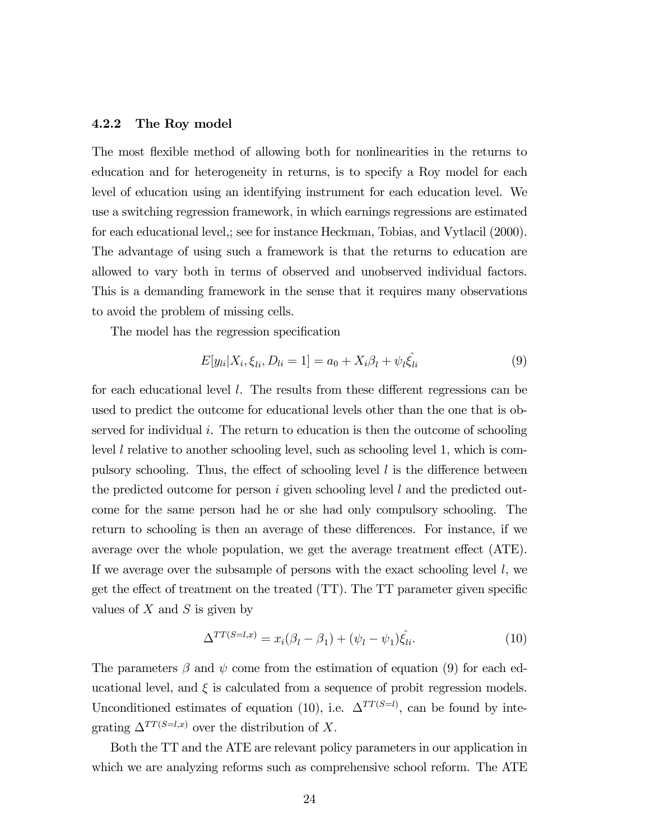#### 4.2.2 The Roy model

The most flexible method of allowing both for nonlinearities in the returns to education and for heterogeneity in returns, is to specify a Roy model for each level of education using an identifying instrument for each education level. We use a switching regression framework, in which earnings regressions are estimated for each educational level,; see for instance Heckman, Tobias, and Vytlacil (2000). The advantage of using such a framework is that the returns to education are allowed to vary both in terms of observed and unobserved individual factors. This is a demanding framework in the sense that it requires many observations to avoid the problem of missing cells.

The model has the regression specification

$$
E[y_{li}|X_i, \xi_{li}, D_{li} = 1] = a_0 + X_i \beta_l + \psi_l \hat{\xi}_{li}
$$
\n(9)

for each educational level l. The results from these different regressions can be used to predict the outcome for educational levels other than the one that is observed for individual i. The return to education is then the outcome of schooling level l relative to another schooling level, such as schooling level 1, which is compulsory schooling. Thus, the effect of schooling level  $l$  is the difference between the predicted outcome for person i given schooling level  $l$  and the predicted outcome for the same person had he or she had only compulsory schooling. The return to schooling is then an average of these differences. For instance, if we average over the whole population, we get the average treatment effect (ATE). If we average over the subsample of persons with the exact schooling level  $l$ , we get the effect of treatment on the treated (TT). The TT parameter given specific values of  $X$  and  $S$  is given by

$$
\Delta^{TT(S=l,x)} = x_i(\beta_l - \beta_1) + (\psi_l - \psi_1)\hat{\xi_{li}}.
$$
\n(10)

The parameters  $\beta$  and  $\psi$  come from the estimation of equation (9) for each educational level, and  $\xi$  is calculated from a sequence of probit regression models. Unconditioned estimates of equation (10), i.e.  $\Delta^{TT(S=l)}$ , can be found by integrating  $\Delta^{TT(S=l,x)}$  over the distribution of X.

Both the TT and the ATE are relevant policy parameters in our application in which we are analyzing reforms such as comprehensive school reform. The ATE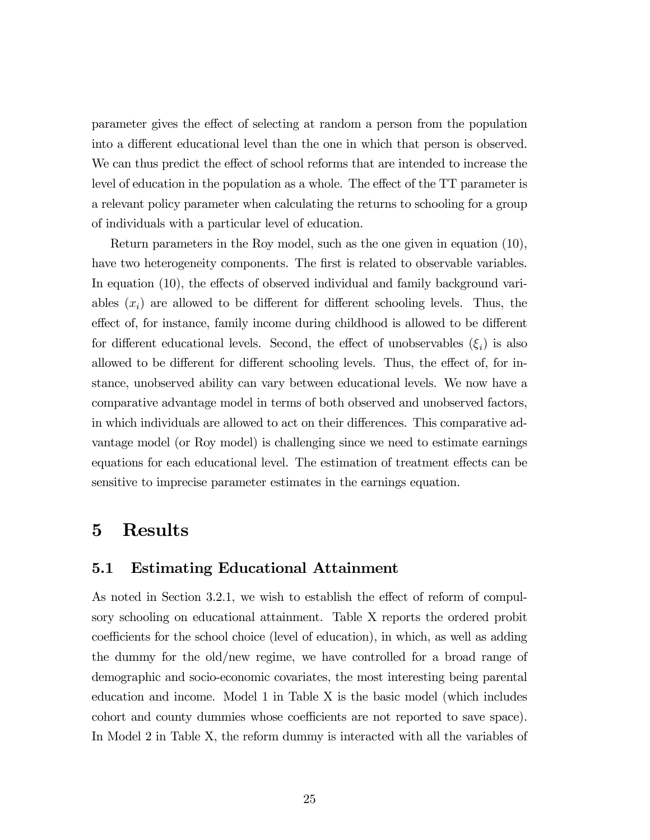parameter gives the effect of selecting at random a person from the population into a different educational level than the one in which that person is observed. We can thus predict the effect of school reforms that are intended to increase the level of education in the population as a whole. The effect of the TT parameter is a relevant policy parameter when calculating the returns to schooling for a group of individuals with a particular level of education.

Return parameters in the Roy model, such as the one given in equation (10), have two heterogeneity components. The first is related to observable variables. In equation (10), the effects of observed individual and family background variables  $(x_i)$  are allowed to be different for different schooling levels. Thus, the effect of, for instance, family income during childhood is allowed to be different for different educational levels. Second, the effect of unobservables  $(\xi_i)$  is also allowed to be different for different schooling levels. Thus, the effect of, for instance, unobserved ability can vary between educational levels. We now have a comparative advantage model in terms of both observed and unobserved factors, in which individuals are allowed to act on their differences. This comparative advantage model (or Roy model) is challenging since we need to estimate earnings equations for each educational level. The estimation of treatment effects can be sensitive to imprecise parameter estimates in the earnings equation.

## 5 Results

#### 5.1 Estimating Educational Attainment

As noted in Section 3.2.1, we wish to establish the effect of reform of compulsory schooling on educational attainment. Table X reports the ordered probit coefficients for the school choice (level of education), in which, as well as adding the dummy for the old/new regime, we have controlled for a broad range of demographic and socio-economic covariates, the most interesting being parental education and income. Model 1 in Table X is the basic model (which includes cohort and county dummies whose coefficients are not reported to save space). In Model 2 in Table X, the reform dummy is interacted with all the variables of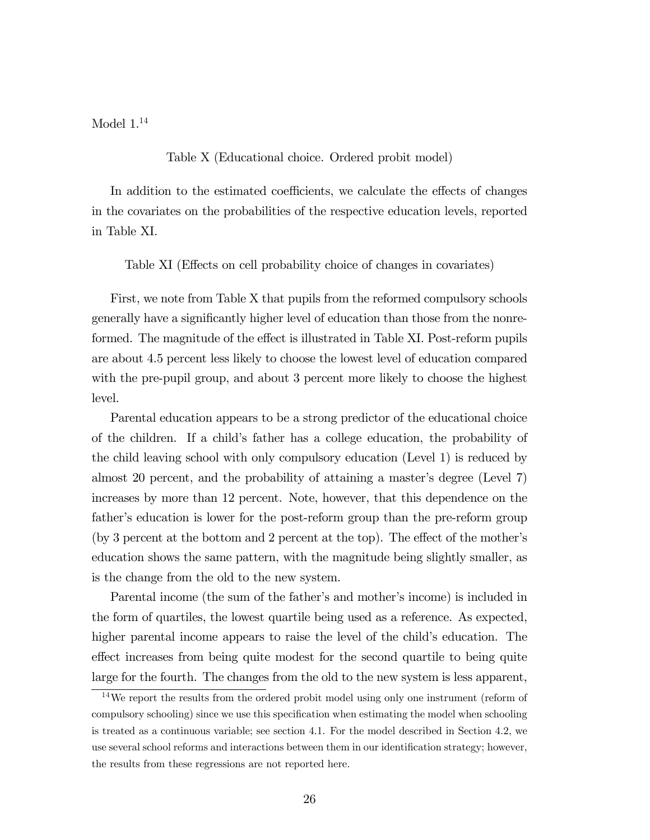Model  $1.14$ 

Table X (Educational choice. Ordered probit model)

In addition to the estimated coefficients, we calculate the effects of changes in the covariates on the probabilities of the respective education levels, reported in Table XI.

Table XI (Effects on cell probability choice of changes in covariates)

First, we note from Table X that pupils from the reformed compulsory schools generally have a significantly higher level of education than those from the nonreformed. The magnitude of the effect is illustrated in Table XI. Post-reform pupils are about 4.5 percent less likely to choose the lowest level of education compared with the pre-pupil group, and about 3 percent more likely to choose the highest level.

Parental education appears to be a strong predictor of the educational choice of the children. If a child's father has a college education, the probability of the child leaving school with only compulsory education (Level 1) is reduced by almost 20 percent, and the probability of attaining a master's degree (Level 7) increases by more than 12 percent. Note, however, that this dependence on the father's education is lower for the post-reform group than the pre-reform group (by 3 percent at the bottom and 2 percent at the top). The effect of the mother's education shows the same pattern, with the magnitude being slightly smaller, as is the change from the old to the new system.

Parental income (the sum of the father's and mother's income) is included in the form of quartiles, the lowest quartile being used as a reference. As expected, higher parental income appears to raise the level of the child's education. The effect increases from being quite modest for the second quartile to being quite large for the fourth. The changes from the old to the new system is less apparent,

<sup>14</sup>We report the results from the ordered probit model using only one instrument (reform of compulsory schooling) since we use this specification when estimating the model when schooling is treated as a continuous variable; see section 4.1. For the model described in Section 4.2, we use several school reforms and interactions between them in our identification strategy; however, the results from these regressions are not reported here.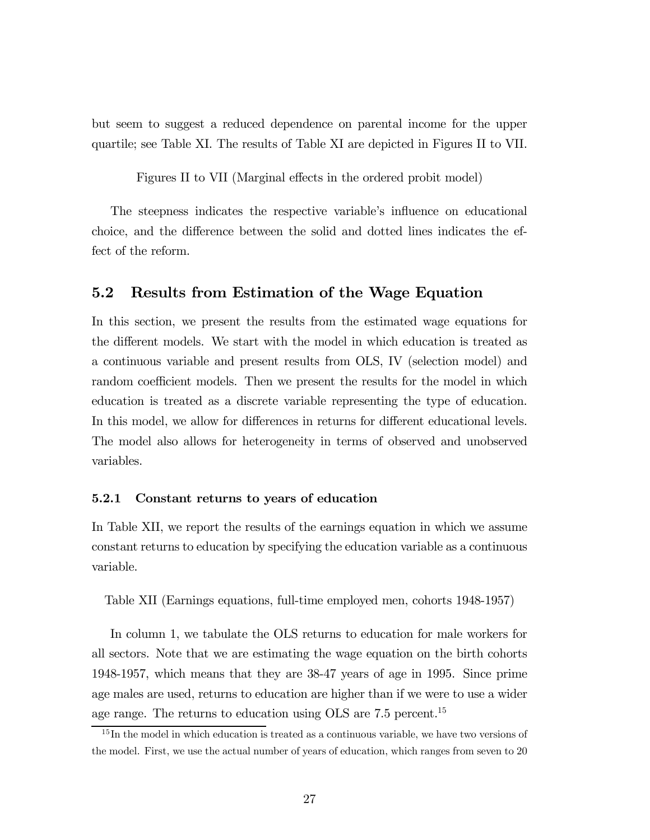but seem to suggest a reduced dependence on parental income for the upper quartile; see Table XI. The results of Table XI are depicted in Figures II to VII.

Figures II to VII (Marginal effects in the ordered probit model)

The steepness indicates the respective variable's influence on educational choice, and the difference between the solid and dotted lines indicates the effect of the reform.

#### 5.2 Results from Estimation of the Wage Equation

In this section, we present the results from the estimated wage equations for the different models. We start with the model in which education is treated as a continuous variable and present results from OLS, IV (selection model) and random coefficient models. Then we present the results for the model in which education is treated as a discrete variable representing the type of education. In this model, we allow for differences in returns for different educational levels. The model also allows for heterogeneity in terms of observed and unobserved variables.

#### 5.2.1 Constant returns to years of education

In Table XII, we report the results of the earnings equation in which we assume constant returns to education by specifying the education variable as a continuous variable.

Table XII (Earnings equations, full-time employed men, cohorts 1948-1957)

In column 1, we tabulate the OLS returns to education for male workers for all sectors. Note that we are estimating the wage equation on the birth cohorts 1948-1957, which means that they are 38-47 years of age in 1995. Since prime age males are used, returns to education are higher than if we were to use a wider age range. The returns to education using OLS are 7.5 percent.<sup>15</sup>

 $15$  In the model in which education is treated as a continuous variable, we have two versions of the model. First, we use the actual number of years of education, which ranges from seven to 20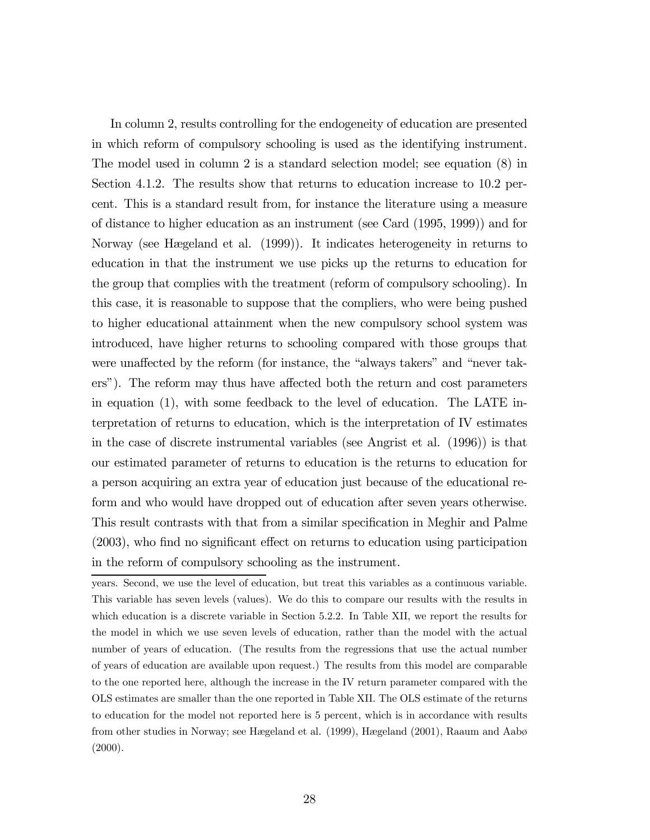In column 2, results controlling for the endogeneity of education are presented in which reform of compulsory schooling is used as the identifying instrument. The model used in column 2 is a standard selection model; see equation (8) in Section 4.1.2. The results show that returns to education increase to 10.2 percent. This is a standard result from, for instance the literature using a measure of distance to higher education as an instrument (see Card (1995, 1999)) and for Norway (see Hægeland et al. (1999)). It indicates heterogeneity in returns to education in that the instrument we use picks up the returns to education for the group that complies with the treatment (reform of compulsory schooling). In this case, it is reasonable to suppose that the compliers, who were being pushed to higher educational attainment when the new compulsory school system was introduced, have higher returns to schooling compared with those groups that were unaffected by the reform (for instance, the "always takers" and "never takers"). The reform may thus have affected both the return and cost parameters in equation (1), with some feedback to the level of education. The LATE interpretation of returns to education, which is the interpretation of IV estimates in the case of discrete instrumental variables (see Angrist et al. (1996)) is that our estimated parameter of returns to education is the returns to education for a person acquiring an extra year of education just because of the educational reform and who would have dropped out of education after seven years otherwise. This result contrasts with that from a similar specification in Meghir and Palme (2003), who find no significant effect on returns to education using participation in the reform of compulsory schooling as the instrument.

years. Second, we use the level of education, but treat this variables as a continuous variable. This variable has seven levels (values). We do this to compare our results with the results in which education is a discrete variable in Section 5.2.2. In Table XII, we report the results for the model in which we use seven levels of education, rather than the model with the actual number of years of education. (The results from the regressions that use the actual number of years of education are available upon request.) The results from this model are comparable to the one reported here, although the increase in the IV return parameter compared with the OLS estimates are smaller than the one reported in Table XII. The OLS estimate of the returns to education for the model not reported here is 5 percent, which is in accordance with results from other studies in Norway; see Hægeland et al. (1999), Hægeland (2001), Raaum and Aabø  $(2000).$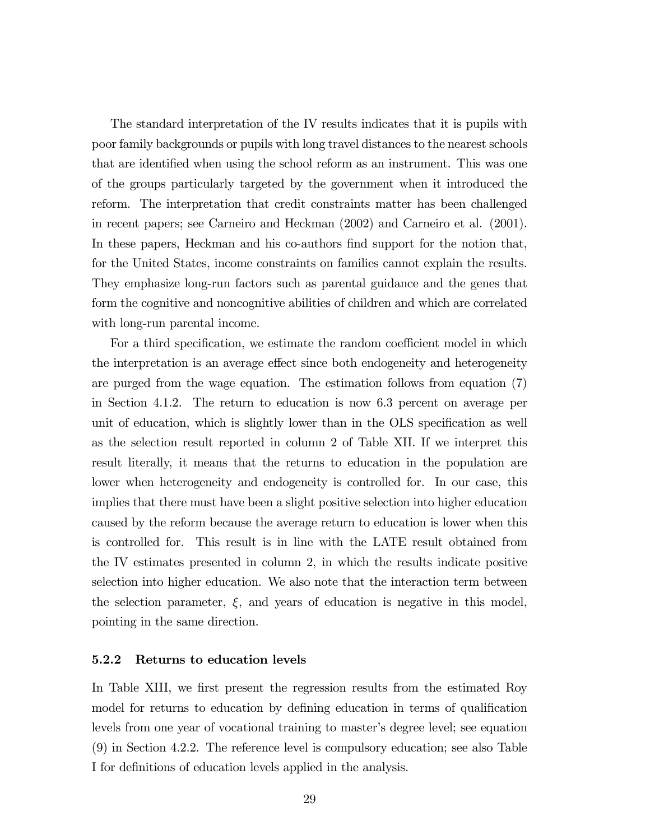The standard interpretation of the IV results indicates that it is pupils with poor family backgrounds or pupils with long travel distances to the nearest schools that are identified when using the school reform as an instrument. This was one of the groups particularly targeted by the government when it introduced the reform. The interpretation that credit constraints matter has been challenged in recent papers; see Carneiro and Heckman (2002) and Carneiro et al. (2001). In these papers, Heckman and his co-authors find support for the notion that, for the United States, income constraints on families cannot explain the results. They emphasize long-run factors such as parental guidance and the genes that form the cognitive and noncognitive abilities of children and which are correlated with long-run parental income.

For a third specification, we estimate the random coefficient model in which the interpretation is an average effect since both endogeneity and heterogeneity are purged from the wage equation. The estimation follows from equation (7) in Section 4.1.2. The return to education is now 6.3 percent on average per unit of education, which is slightly lower than in the OLS specification as well as the selection result reported in column 2 of Table XII. If we interpret this result literally, it means that the returns to education in the population are lower when heterogeneity and endogeneity is controlled for. In our case, this implies that there must have been a slight positive selection into higher education caused by the reform because the average return to education is lower when this is controlled for. This result is in line with the LATE result obtained from the IV estimates presented in column 2, in which the results indicate positive selection into higher education. We also note that the interaction term between the selection parameter,  $\xi$ , and years of education is negative in this model, pointing in the same direction.

#### 5.2.2 Returns to education levels

In Table XIII, we first present the regression results from the estimated Roy model for returns to education by defining education in terms of qualification levels from one year of vocational training to master's degree level; see equation (9) in Section 4.2.2. The reference level is compulsory education; see also Table I for definitions of education levels applied in the analysis.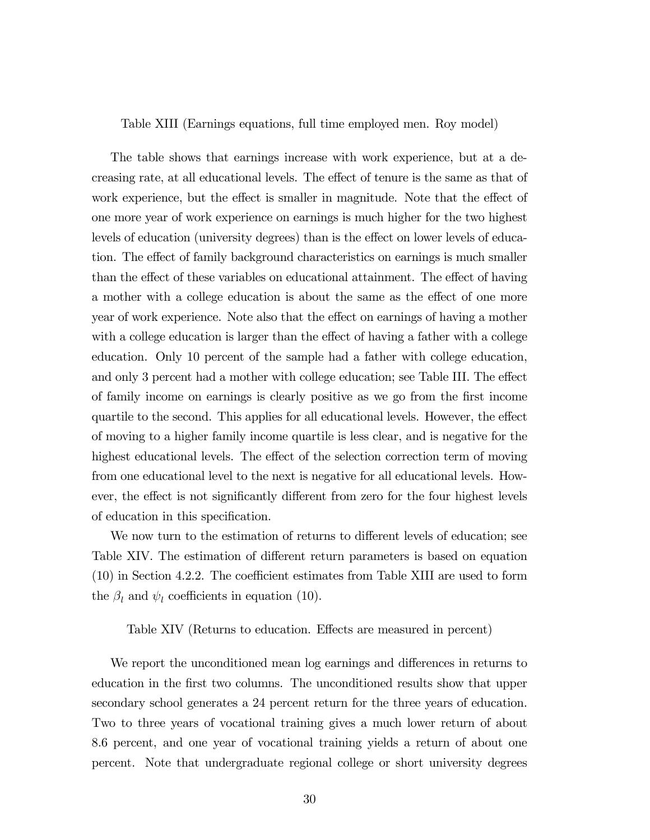Table XIII (Earnings equations, full time employed men. Roy model)

The table shows that earnings increase with work experience, but at a decreasing rate, at all educational levels. The effect of tenure is the same as that of work experience, but the effect is smaller in magnitude. Note that the effect of one more year of work experience on earnings is much higher for the two highest levels of education (university degrees) than is the effect on lower levels of education. The effect of family background characteristics on earnings is much smaller than the effect of these variables on educational attainment. The effect of having a mother with a college education is about the same as the effect of one more year of work experience. Note also that the effect on earnings of having a mother with a college education is larger than the effect of having a father with a college education. Only 10 percent of the sample had a father with college education, and only 3 percent had a mother with college education; see Table III. The effect of family income on earnings is clearly positive as we go from the first income quartile to the second. This applies for all educational levels. However, the effect of moving to a higher family income quartile is less clear, and is negative for the highest educational levels. The effect of the selection correction term of moving from one educational level to the next is negative for all educational levels. However, the effect is not significantly different from zero for the four highest levels of education in this specification.

We now turn to the estimation of returns to different levels of education; see Table XIV. The estimation of different return parameters is based on equation (10) in Section 4.2.2. The coefficient estimates from Table XIII are used to form the  $\beta_l$  and  $\psi_l$  coefficients in equation (10).

Table XIV (Returns to education. Effects are measured in percent)

We report the unconditioned mean log earnings and differences in returns to education in the first two columns. The unconditioned results show that upper secondary school generates a 24 percent return for the three years of education. Two to three years of vocational training gives a much lower return of about 8.6 percent, and one year of vocational training yields a return of about one percent. Note that undergraduate regional college or short university degrees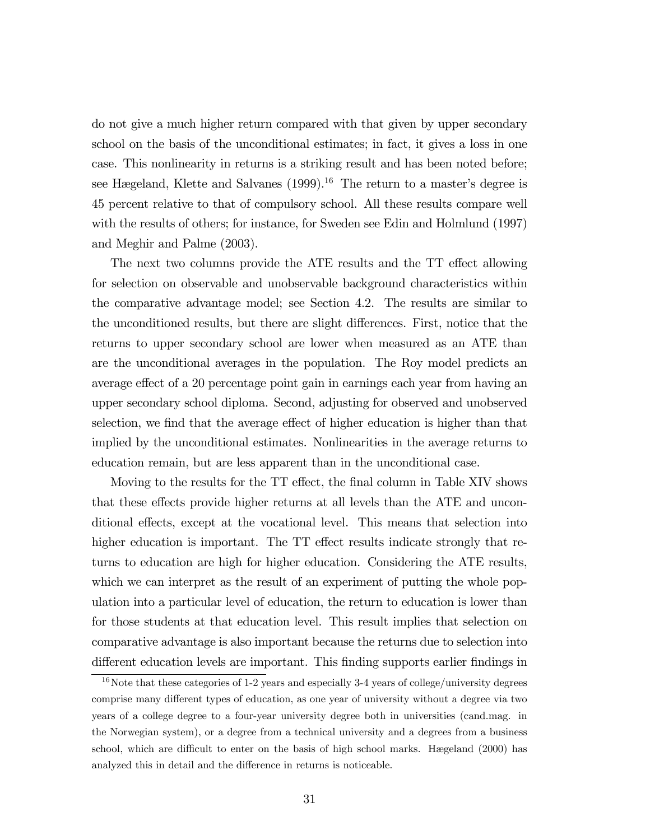do not give a much higher return compared with that given by upper secondary school on the basis of the unconditional estimates; in fact, it gives a loss in one case. This nonlinearity in returns is a striking result and has been noted before; see Hægeland, Klette and Salvanes (1999).<sup>16</sup> The return to a master's degree is 45 percent relative to that of compulsory school. All these results compare well with the results of others; for instance, for Sweden see Edin and Holmlund (1997) and Meghir and Palme (2003).

The next two columns provide the ATE results and the TT effect allowing for selection on observable and unobservable background characteristics within the comparative advantage model; see Section 4.2. The results are similar to the unconditioned results, but there are slight differences. First, notice that the returns to upper secondary school are lower when measured as an ATE than are the unconditional averages in the population. The Roy model predicts an average effect of a 20 percentage point gain in earnings each year from having an upper secondary school diploma. Second, adjusting for observed and unobserved selection, we find that the average effect of higher education is higher than that implied by the unconditional estimates. Nonlinearities in the average returns to education remain, but are less apparent than in the unconditional case.

Moving to the results for the TT effect, the final column in Table XIV shows that these effects provide higher returns at all levels than the ATE and unconditional effects, except at the vocational level. This means that selection into higher education is important. The TT effect results indicate strongly that returns to education are high for higher education. Considering the ATE results, which we can interpret as the result of an experiment of putting the whole population into a particular level of education, the return to education is lower than for those students at that education level. This result implies that selection on comparative advantage is also important because the returns due to selection into different education levels are important. This finding supports earlier findings in

 $16$ Note that these categories of 1-2 years and especially 3-4 years of college/university degrees comprise many different types of education, as one year of university without a degree via two years of a college degree to a four-year university degree both in universities (cand.mag. in the Norwegian system), or a degree from a technical university and a degrees from a business school, which are difficult to enter on the basis of high school marks. Hægeland (2000) has analyzed this in detail and the difference in returns is noticeable.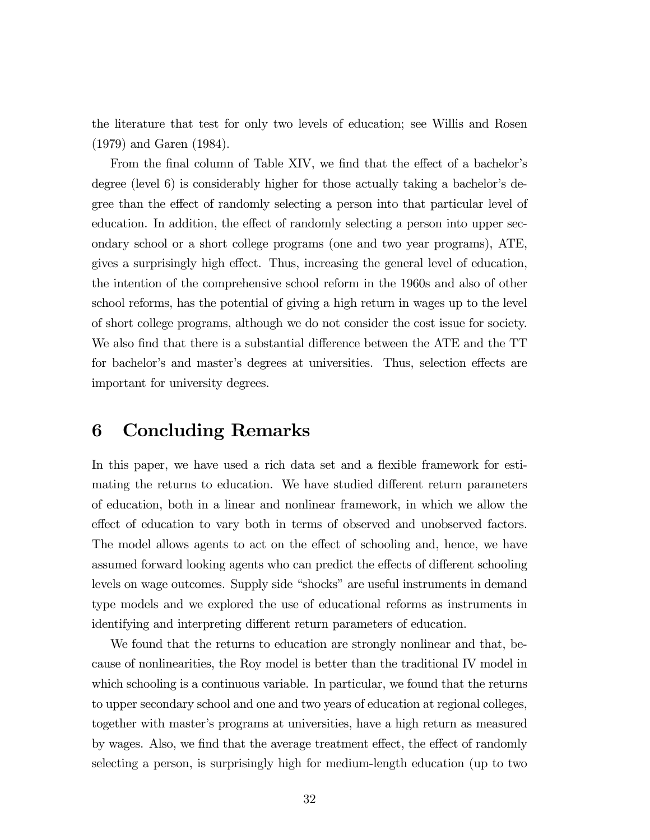the literature that test for only two levels of education; see Willis and Rosen (1979) and Garen (1984).

From the final column of Table XIV, we find that the effect of a bachelor's degree (level 6) is considerably higher for those actually taking a bachelor's degree than the effect of randomly selecting a person into that particular level of education. In addition, the effect of randomly selecting a person into upper secondary school or a short college programs (one and two year programs), ATE, gives a surprisingly high effect. Thus, increasing the general level of education, the intention of the comprehensive school reform in the 1960s and also of other school reforms, has the potential of giving a high return in wages up to the level of short college programs, although we do not consider the cost issue for society. We also find that there is a substantial difference between the ATE and the TT for bachelor's and master's degrees at universities. Thus, selection effects are important for university degrees.

### 6 Concluding Remarks

In this paper, we have used a rich data set and a flexible framework for estimating the returns to education. We have studied different return parameters of education, both in a linear and nonlinear framework, in which we allow the effect of education to vary both in terms of observed and unobserved factors. The model allows agents to act on the effect of schooling and, hence, we have assumed forward looking agents who can predict the effects of different schooling levels on wage outcomes. Supply side "shocks" are useful instruments in demand type models and we explored the use of educational reforms as instruments in identifying and interpreting different return parameters of education.

We found that the returns to education are strongly nonlinear and that, because of nonlinearities, the Roy model is better than the traditional IV model in which schooling is a continuous variable. In particular, we found that the returns to upper secondary school and one and two years of education at regional colleges, together with master's programs at universities, have a high return as measured by wages. Also, we find that the average treatment effect, the effect of randomly selecting a person, is surprisingly high for medium-length education (up to two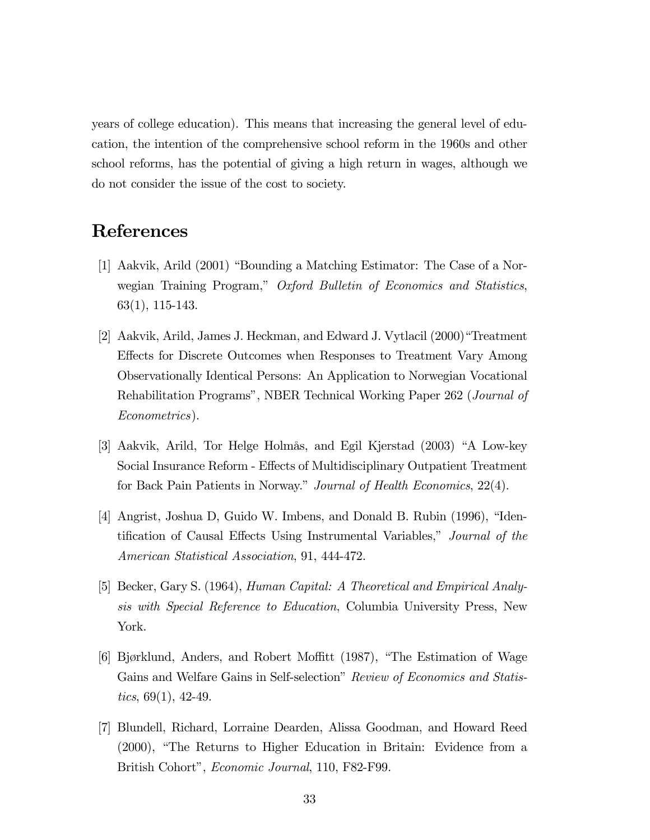years of college education). This means that increasing the general level of education, the intention of the comprehensive school reform in the 1960s and other school reforms, has the potential of giving a high return in wages, although we do not consider the issue of the cost to society.

## References

- [1] Aakvik, Arild (2001) "Bounding a Matching Estimator: The Case of a Norwegian Training Program," Oxford Bulletin of Economics and Statistics, 63(1), 115-143.
- [2] Aakvik, Arild, James J. Heckman, and Edward J. Vytlacil (2000)"Treatment Effects for Discrete Outcomes when Responses to Treatment Vary Among Observationally Identical Persons: An Application to Norwegian Vocational Rehabilitation Programs", NBER Technical Working Paper 262 (Journal of Econometrics).
- [3] Aakvik, Arild, Tor Helge Holmås, and Egil Kjerstad (2003) "A Low-key Social Insurance Reform - Effects of Multidisciplinary Outpatient Treatment for Back Pain Patients in Norway." Journal of Health Economics, 22(4).
- [4] Angrist, Joshua D, Guido W. Imbens, and Donald B. Rubin (1996), "Identification of Causal Effects Using Instrumental Variables," Journal of the American Statistical Association, 91, 444-472.
- [5] Becker, Gary S. (1964), Human Capital: A Theoretical and Empirical Analysis with Special Reference to Education, Columbia University Press, New York.
- [6] Bjørklund, Anders, and Robert Moffitt (1987), "The Estimation of Wage Gains and Welfare Gains in Self-selection" Review of Economics and Statistics,  $69(1)$ , 42-49.
- [7] Blundell, Richard, Lorraine Dearden, Alissa Goodman, and Howard Reed (2000), "The Returns to Higher Education in Britain: Evidence from a British Cohort", Economic Journal, 110, F82-F99.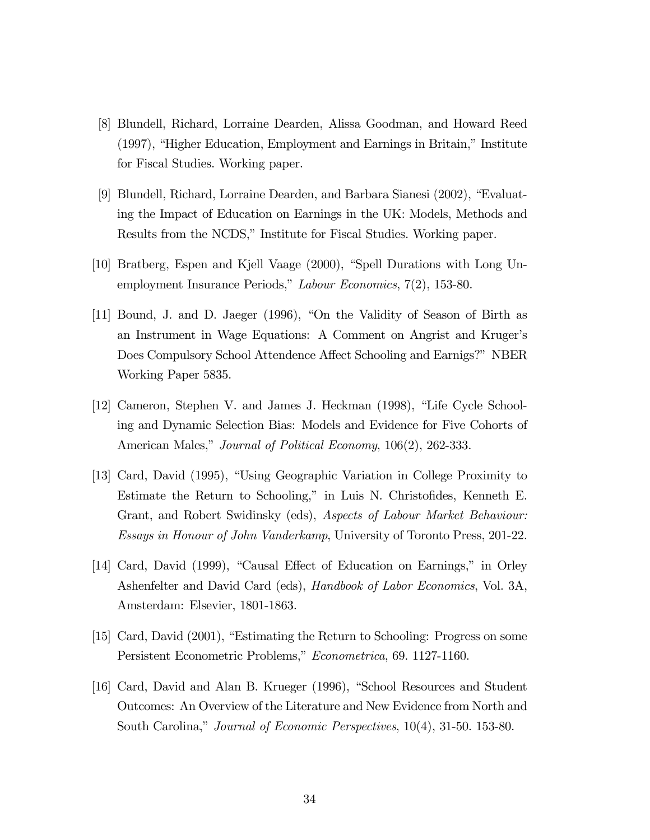- [8] Blundell, Richard, Lorraine Dearden, Alissa Goodman, and Howard Reed (1997), "Higher Education, Employment and Earnings in Britain," Institute for Fiscal Studies. Working paper.
- [9] Blundell, Richard, Lorraine Dearden, and Barbara Sianesi (2002), "Evaluating the Impact of Education on Earnings in the UK: Models, Methods and Results from the NCDS," Institute for Fiscal Studies. Working paper.
- [10] Bratberg, Espen and Kjell Vaage (2000), "Spell Durations with Long Unemployment Insurance Periods," Labour Economics, 7(2), 153-80.
- [11] Bound, J. and D. Jaeger (1996), "On the Validity of Season of Birth as an Instrument in Wage Equations: A Comment on Angrist and Kruger's Does Compulsory School Attendence Affect Schooling and Earnigs?" NBER Working Paper 5835.
- [12] Cameron, Stephen V. and James J. Heckman (1998), "Life Cycle Schooling and Dynamic Selection Bias: Models and Evidence for Five Cohorts of American Males," *Journal of Political Economy*, 106(2), 262-333.
- [13] Card, David (1995), "Using Geographic Variation in College Proximity to Estimate the Return to Schooling," in Luis N. Christofides, Kenneth E. Grant, and Robert Swidinsky (eds), Aspects of Labour Market Behaviour: Essays in Honour of John Vanderkamp, University of Toronto Press, 201-22.
- [14] Card, David (1999), "Causal Effect of Education on Earnings," in Orley Ashenfelter and David Card (eds), Handbook of Labor Economics, Vol. 3A, Amsterdam: Elsevier, 1801-1863.
- [15] Card, David (2001), "Estimating the Return to Schooling: Progress on some Persistent Econometric Problems," Econometrica, 69. 1127-1160.
- [16] Card, David and Alan B. Krueger (1996), "School Resources and Student Outcomes: An Overview of the Literature and New Evidence from North and South Carolina," Journal of Economic Perspectives, 10(4), 31-50. 153-80.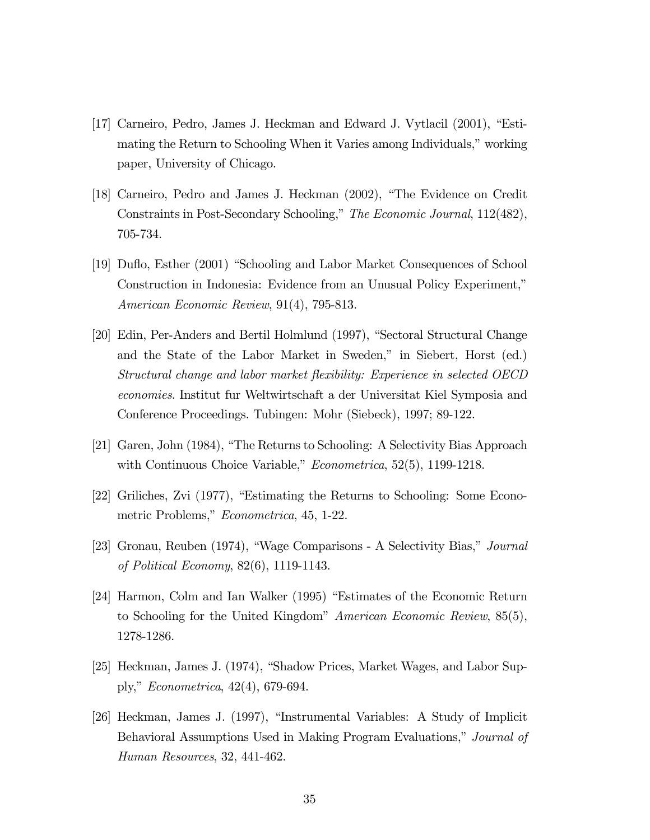- [17] Carneiro, Pedro, James J. Heckman and Edward J. Vytlacil (2001), "Estimating the Return to Schooling When it Varies among Individuals," working paper, University of Chicago.
- [18] Carneiro, Pedro and James J. Heckman (2002), "The Evidence on Credit Constraints in Post-Secondary Schooling," The Economic Journal, 112(482), 705-734.
- [19] Duflo, Esther (2001) "Schooling and Labor Market Consequences of School Construction in Indonesia: Evidence from an Unusual Policy Experiment," American Economic Review, 91(4), 795-813.
- [20] Edin, Per-Anders and Bertil Holmlund (1997), "Sectoral Structural Change and the State of the Labor Market in Sweden," in Siebert, Horst (ed.) Structural change and labor market flexibility: Experience in selected OECD economies. Institut fur Weltwirtschaft a der Universitat Kiel Symposia and Conference Proceedings. Tubingen: Mohr (Siebeck), 1997; 89-122.
- [21] Garen, John (1984), "The Returns to Schooling: A Selectivity Bias Approach with Continuous Choice Variable," *Econometrica*, 52(5), 1199-1218.
- [22] Griliches, Zvi (1977), "Estimating the Returns to Schooling: Some Econometric Problems," Econometrica, 45, 1-22.
- [23] Gronau, Reuben (1974), "Wage Comparisons A Selectivity Bias," Journal of Political Economy, 82(6), 1119-1143.
- [24] Harmon, Colm and Ian Walker (1995) "Estimates of the Economic Return to Schooling for the United Kingdom" American Economic Review, 85(5), 1278-1286.
- [25] Heckman, James J. (1974), "Shadow Prices, Market Wages, and Labor Supply," Econometrica, 42(4), 679-694.
- [26] Heckman, James J. (1997), "Instrumental Variables: A Study of Implicit Behavioral Assumptions Used in Making Program Evaluations," Journal of Human Resources, 32, 441-462.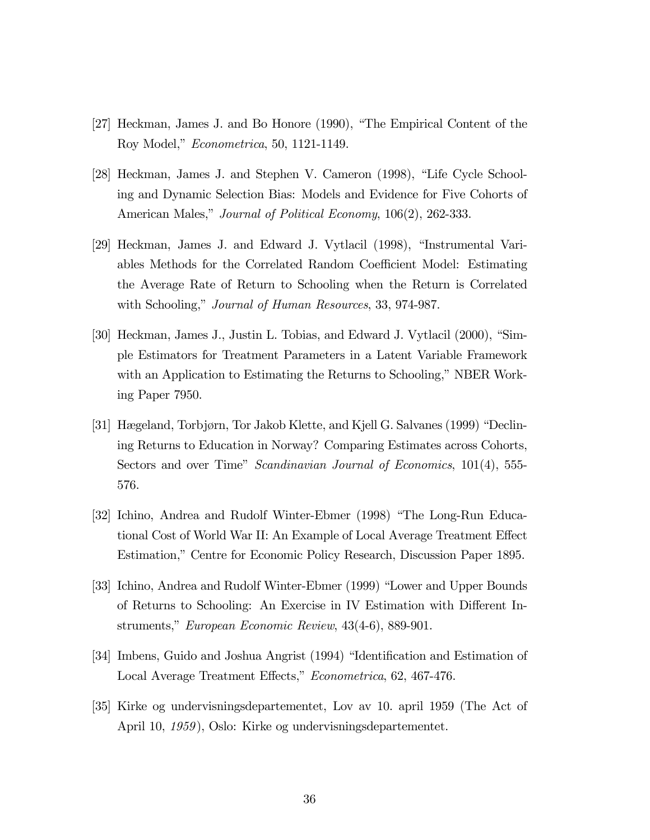- [27] Heckman, James J. and Bo Honore (1990), "The Empirical Content of the Roy Model," Econometrica, 50, 1121-1149.
- [28] Heckman, James J. and Stephen V. Cameron (1998), "Life Cycle Schooling and Dynamic Selection Bias: Models and Evidence for Five Cohorts of American Males," Journal of Political Economy, 106(2), 262-333.
- [29] Heckman, James J. and Edward J. Vytlacil (1998), "Instrumental Variables Methods for the Correlated Random Coefficient Model: Estimating the Average Rate of Return to Schooling when the Return is Correlated with Schooling," *Journal of Human Resources*, 33, 974-987.
- [30] Heckman, James J., Justin L. Tobias, and Edward J. Vytlacil (2000), "Simple Estimators for Treatment Parameters in a Latent Variable Framework with an Application to Estimating the Returns to Schooling," NBER Working Paper 7950.
- [31] Hægeland, Torbjørn, Tor Jakob Klette, and Kjell G. Salvanes (1999) "Declining Returns to Education in Norway? Comparing Estimates across Cohorts, Sectors and over Time" Scandinavian Journal of Economics, 101(4), 555-576.
- [32] Ichino, Andrea and Rudolf Winter-Ebmer (1998) "The Long-Run Educational Cost of World War II: An Example of Local Average Treatment Effect Estimation," Centre for Economic Policy Research, Discussion Paper 1895.
- [33] Ichino, Andrea and Rudolf Winter-Ebmer (1999) "Lower and Upper Bounds of Returns to Schooling: An Exercise in IV Estimation with Different Instruments," European Economic Review, 43(4-6), 889-901.
- [34] Imbens, Guido and Joshua Angrist (1994) "Identification and Estimation of Local Average Treatment Effects," Econometrica, 62, 467-476.
- [35] Kirke og undervisningsdepartementet, Lov av 10. april 1959 (The Act of April 10, 1959), Oslo: Kirke og undervisningsdepartementet.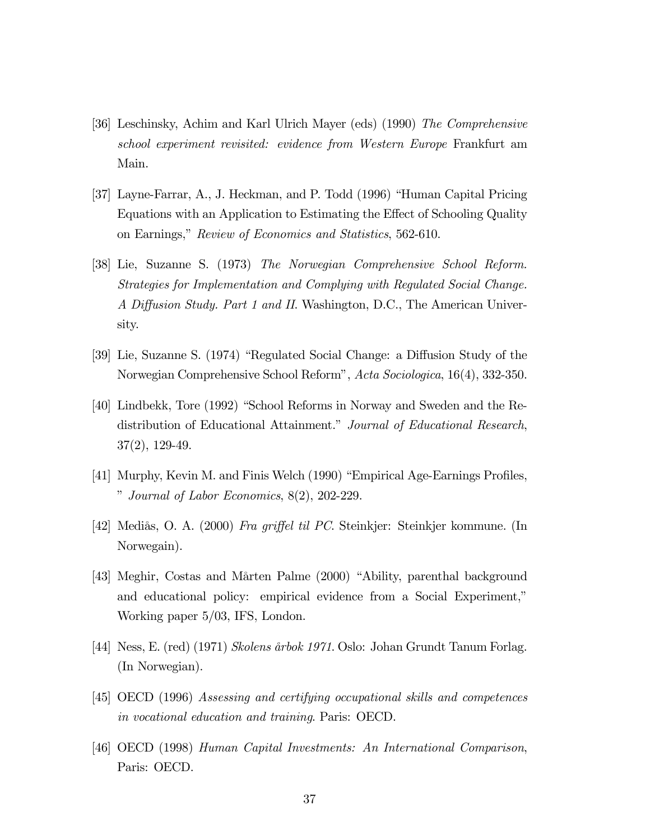- [36] Leschinsky, Achim and Karl Ulrich Mayer (eds) (1990) The Comprehensive school experiment revisited: evidence from Western Europe Frankfurt am Main.
- [37] Layne-Farrar, A., J. Heckman, and P. Todd (1996) "Human Capital Pricing Equations with an Application to Estimating the Effect of Schooling Quality on Earnings," Review of Economics and Statistics, 562-610.
- [38] Lie, Suzanne S. (1973) The Norwegian Comprehensive School Reform. Strategies for Implementation and Complying with Regulated Social Change. A Diffusion Study. Part 1 and II. Washington, D.C., The American University.
- [39] Lie, Suzanne S. (1974) "Regulated Social Change: a Diffusion Study of the Norwegian Comprehensive School Reform", Acta Sociologica, 16(4), 332-350.
- [40] Lindbekk, Tore (1992) "School Reforms in Norway and Sweden and the Redistribution of Educational Attainment." Journal of Educational Research, 37(2), 129-49.
- [41] Murphy, Kevin M. and Finis Welch (1990) "Empirical Age-Earnings Profiles, " Journal of Labor Economics, 8(2), 202-229.
- [42] Mediås, O. A. (2000) Fra griffel til PC. Steinkjer: Steinkjer kommune. (In Norwegain).
- [43] Meghir, Costas and Mårten Palme (2000) "Ability, parenthal background and educational policy: empirical evidence from a Social Experiment," Working paper 5/03, IFS, London.
- [44] Ness, E. (red) (1971) Skolens årbok 1971. Oslo: Johan Grundt Tanum Forlag. (In Norwegian).
- [45] OECD (1996) Assessing and certifying occupational skills and competences in vocational education and training. Paris: OECD.
- [46] OECD (1998) Human Capital Investments: An International Comparison, Paris: OECD.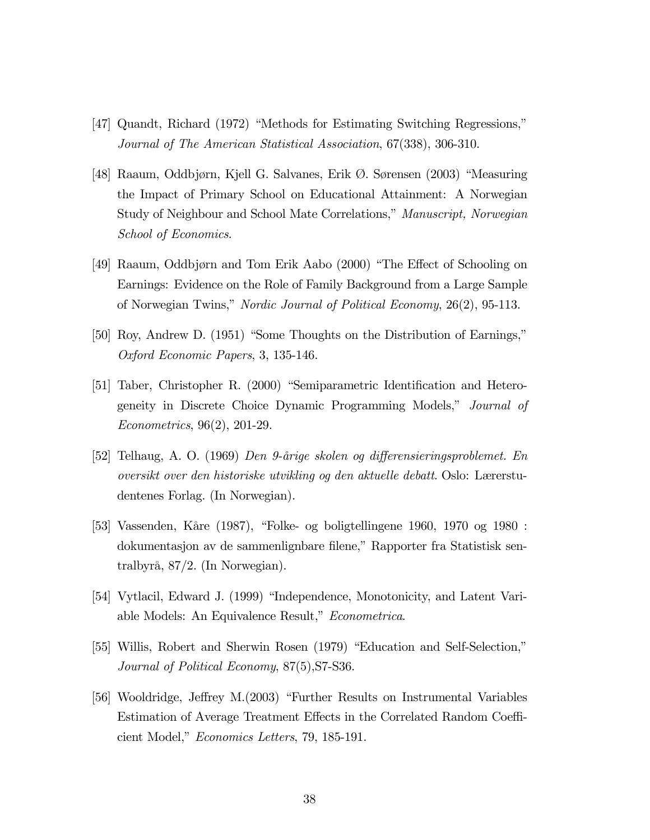- [47] Quandt, Richard (1972) "Methods for Estimating Switching Regressions," Journal of The American Statistical Association, 67(338), 306-310.
- [48] Raaum, Oddbjørn, Kjell G. Salvanes, Erik Ø. Sørensen (2003) "Measuring the Impact of Primary School on Educational Attainment: A Norwegian Study of Neighbour and School Mate Correlations," Manuscript, Norwegian School of Economics.
- [49] Raaum, Oddbjørn and Tom Erik Aabo (2000) "The Effect of Schooling on Earnings: Evidence on the Role of Family Background from a Large Sample of Norwegian Twins," Nordic Journal of Political Economy, 26(2), 95-113.
- [50] Roy, Andrew D. (1951) "Some Thoughts on the Distribution of Earnings," Oxford Economic Papers, 3, 135-146.
- [51] Taber, Christopher R. (2000) "Semiparametric Identification and Heterogeneity in Discrete Choice Dynamic Programming Models," Journal of Econometrics, 96(2), 201-29.
- [52] Telhaug, A. O. (1969) Den 9-årige skolen og differensieringsproblemet. En oversikt over den historiske utvikling og den aktuelle debatt. Oslo: Lærerstudentenes Forlag. (In Norwegian).
- [53] Vassenden, Kåre (1987), "Folke- og boligtellingene 1960, 1970 og 1980 : dokumentasjon av de sammenlignbare filene," Rapporter fra Statistisk sentralbyrå, 87/2. (In Norwegian).
- [54] Vytlacil, Edward J. (1999) "Independence, Monotonicity, and Latent Variable Models: An Equivalence Result," Econometrica.
- [55] Willis, Robert and Sherwin Rosen (1979) "Education and Self-Selection," Journal of Political Economy, 87(5),S7-S36.
- [56] Wooldridge, Jeffrey M.(2003) "Further Results on Instrumental Variables Estimation of Average Treatment Effects in the Correlated Random Coefficient Model," Economics Letters, 79, 185-191.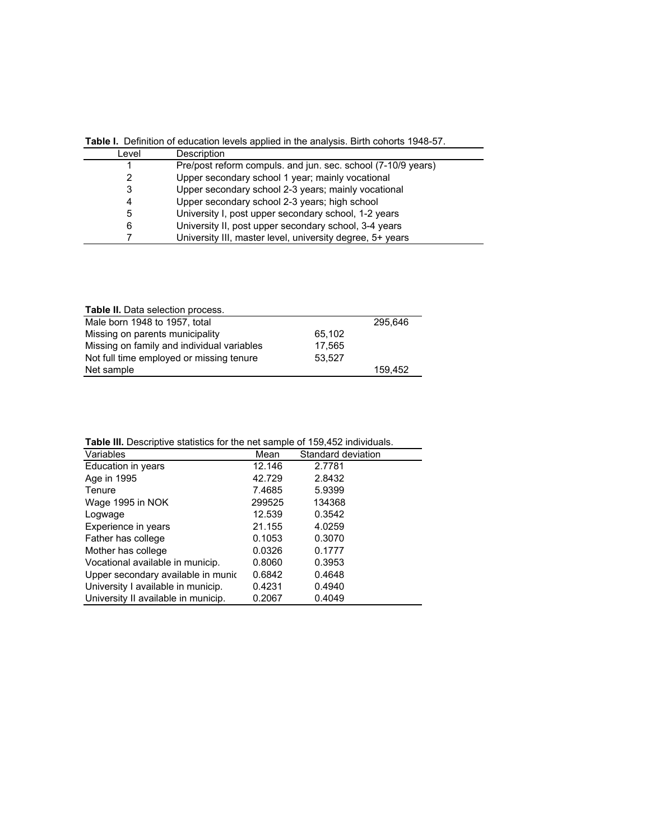| Table I. Definition of education levels applied in the analysis. Birth cohorts 1948-57. |                                                              |  |  |  |
|-----------------------------------------------------------------------------------------|--------------------------------------------------------------|--|--|--|
| Level                                                                                   | Description                                                  |  |  |  |
|                                                                                         | Pre/post reform compuls. and jun. sec. school (7-10/9 years) |  |  |  |
| 2                                                                                       | Upper secondary school 1 year; mainly vocational             |  |  |  |
| 3                                                                                       | Upper secondary school 2-3 years; mainly vocational          |  |  |  |
| 4                                                                                       | Upper secondary school 2-3 years; high school                |  |  |  |
| 5                                                                                       | University I, post upper secondary school, 1-2 years         |  |  |  |
| 6                                                                                       | University II, post upper secondary school, 3-4 years        |  |  |  |
|                                                                                         | University III, master level, university degree, 5+ years    |  |  |  |

| <b>Table II.</b> Data selection process.   |        |         |
|--------------------------------------------|--------|---------|
| Male born 1948 to 1957, total              |        | 295.646 |
| Missing on parents municipality            | 65,102 |         |
| Missing on family and individual variables | 17.565 |         |
| Not full time employed or missing tenure   | 53.527 |         |
| Net sample                                 |        | 159.452 |

**Table III.** Descriptive statistics for the net sample of 159,452 individuals.

| <b>Table III.</b> Descriptive statistics for the fiel sample of 199,492 individuals. |        |                    |  |  |  |  |
|--------------------------------------------------------------------------------------|--------|--------------------|--|--|--|--|
| Variables                                                                            | Mean   | Standard deviation |  |  |  |  |
| Education in years                                                                   | 12.146 | 2.7781             |  |  |  |  |
| Age in 1995                                                                          | 42.729 | 2.8432             |  |  |  |  |
| Tenure                                                                               | 7.4685 | 5.9399             |  |  |  |  |
| Wage 1995 in NOK                                                                     | 299525 | 134368             |  |  |  |  |
| Logwage                                                                              | 12.539 | 0.3542             |  |  |  |  |
| Experience in years                                                                  | 21.155 | 4.0259             |  |  |  |  |
| Father has college                                                                   | 0.1053 | 0.3070             |  |  |  |  |
| Mother has college                                                                   | 0.0326 | 0.1777             |  |  |  |  |
| Vocational available in municip.                                                     | 0.8060 | 0.3953             |  |  |  |  |
| Upper secondary available in munic                                                   | 0.6842 | 0.4648             |  |  |  |  |
| University I available in municip.                                                   | 0.4231 | 0.4940             |  |  |  |  |
| University II available in municip.                                                  | 0.2067 | 0.4049             |  |  |  |  |
|                                                                                      |        |                    |  |  |  |  |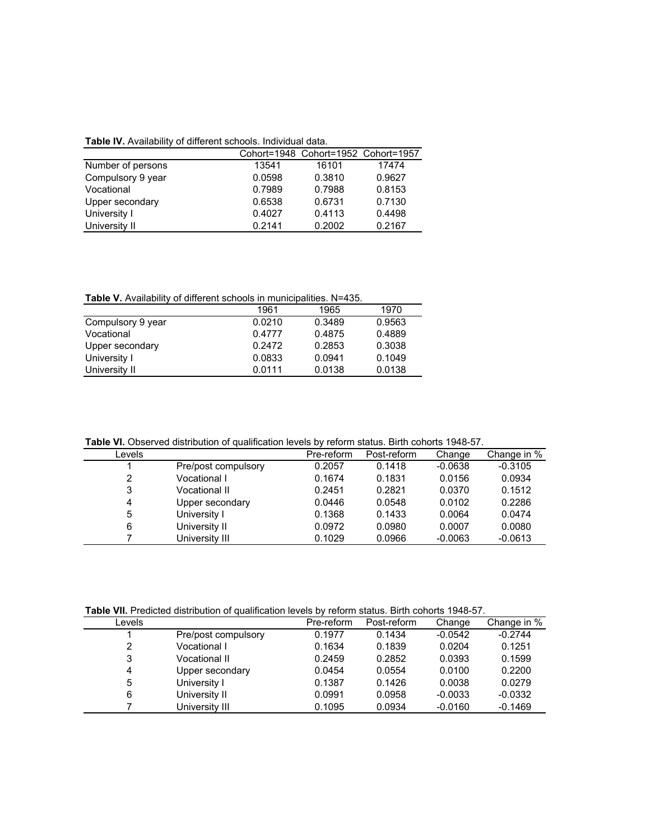|                   |        | Cohort=1948 Cohort=1952 Cohort=1957 |        |
|-------------------|--------|-------------------------------------|--------|
| Number of persons | 13541  | 16101                               | 17474  |
| Compulsory 9 year | 0.0598 | 0.3810                              | 0.9627 |
| Vocational        | 0.7989 | 0.7988                              | 0.8153 |
| Upper secondary   | 0.6538 | 0.6731                              | 0.7130 |
| University I      | 0.4027 | 0.4113                              | 0.4498 |
| University II     | 0.2141 | 0.2002                              | 0.2167 |

**Table V.** Availability of different schools in municipalities. N=435.

| <b>Table V.</b> AVailability of different scribols in municipalities. N=455. |        |        |  |  |  |
|------------------------------------------------------------------------------|--------|--------|--|--|--|
| 1961                                                                         | 1965   | 1970   |  |  |  |
| 0.0210                                                                       | 0.3489 | 0.9563 |  |  |  |
| 0.4777                                                                       | 0.4875 | 0.4889 |  |  |  |
| 0.2472                                                                       | 0.2853 | 0.3038 |  |  |  |
| 0.0833                                                                       | 0.0941 | 0.1049 |  |  |  |
| 0.0111                                                                       | 0.0138 | 0.0138 |  |  |  |
|                                                                              |        |        |  |  |  |

**Table VI.** Observed distribution of qualification levels by reform status. Birth cohorts 1948-57.

| Levels |                      | Pre-reform | Post-reform | Change    | Change in % |
|--------|----------------------|------------|-------------|-----------|-------------|
|        | Pre/post compulsory  | 0.2057     | 0.1418      | $-0.0638$ | $-0.3105$   |
| 2      | Vocational I         | 0.1674     | 0.1831      | 0.0156    | 0.0934      |
| 3      | <b>Vocational II</b> | 0.2451     | 0.2821      | 0.0370    | 0.1512      |
| 4      | Upper secondary      | 0.0446     | 0.0548      | 0.0102    | 0.2286      |
| 5      | University I         | 0.1368     | 0.1433      | 0.0064    | 0.0474      |
| 6      | University II        | 0.0972     | 0.0980      | 0.0007    | 0.0080      |
|        | University III       | 0.1029     | 0.0966      | $-0.0063$ | $-0.0613$   |
|        |                      |            |             |           |             |

**Table VII.** Predicted distribution of qualification levels by reform status. Birth cohorts 1948-57.

| Levels |                     | Pre-reform | Post-reform | Change    | Change in % |
|--------|---------------------|------------|-------------|-----------|-------------|
|        | Pre/post compulsory | 0.1977     | 0.1434      | $-0.0542$ | $-0.2744$   |
| 2      | Vocational I        | 0.1634     | 0.1839      | 0.0204    | 0.1251      |
| 3      | Vocational II       | 0.2459     | 0.2852      | 0.0393    | 0.1599      |
| 4      | Upper secondary     | 0.0454     | 0.0554      | 0.0100    | 0.2200      |
| 5      | University I        | 0.1387     | 0.1426      | 0.0038    | 0.0279      |
| 6      | University II       | 0.0991     | 0.0958      | $-0.0033$ | $-0.0332$   |
|        | University III      | 0.1095     | 0.0934      | $-0.0160$ | $-0.1469$   |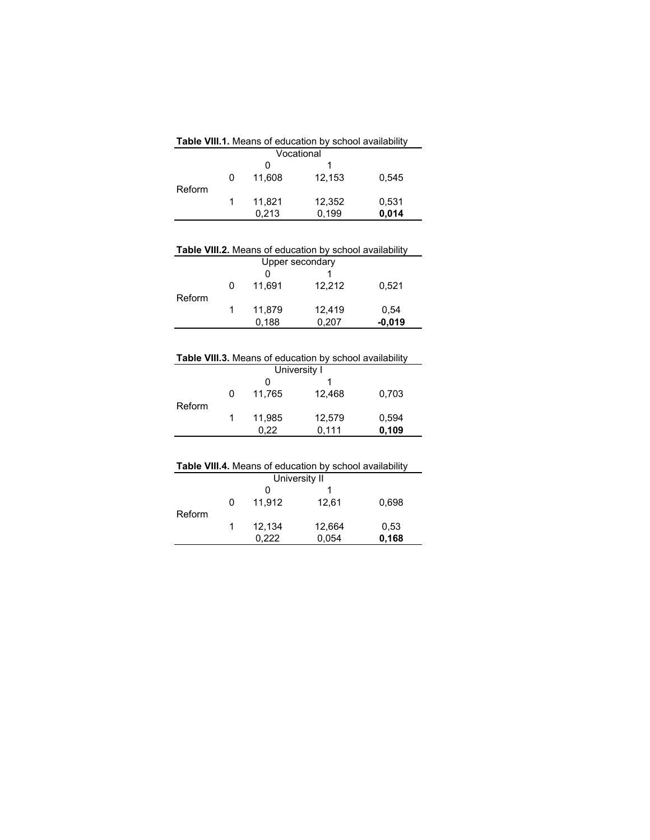|   | 0      |        |                              |                                                                         |
|---|--------|--------|------------------------------|-------------------------------------------------------------------------|
| 0 | 11.608 | 12,153 | 0.545                        |                                                                         |
|   | 11,821 | 12,352 | 0,531                        |                                                                         |
|   |        |        | Vocational<br>0,213<br>0.199 | <b>Table VIII.1.</b> Means of education by school availability<br>0,014 |

|        |   |        | <b>Table VIII.2.</b> Means of education by school availability |          |  |
|--------|---|--------|----------------------------------------------------------------|----------|--|
|        |   |        | Upper secondary                                                |          |  |
|        |   | O      |                                                                |          |  |
|        | 0 | 11.691 | 12.212                                                         | 0.521    |  |
| Reform |   |        |                                                                |          |  |
|        |   | 11.879 | 12,419                                                         | 0.54     |  |
|        |   | 0.188  | 0,207                                                          | $-0,019$ |  |
|        |   |        |                                                                |          |  |

| <b>Table VIII.3.</b> Means of education by school availability |   |        |                                                                |       |
|----------------------------------------------------------------|---|--------|----------------------------------------------------------------|-------|
|                                                                |   |        | University I                                                   |       |
|                                                                |   | 0      |                                                                |       |
|                                                                | 0 | 11,765 | 12,468                                                         | 0,703 |
| Reform                                                         |   |        |                                                                |       |
|                                                                | 1 | 11,985 | 12,579                                                         | 0,594 |
|                                                                |   | 0,22   | 0.111                                                          | 0,109 |
|                                                                |   |        |                                                                |       |
|                                                                |   |        |                                                                |       |
|                                                                |   |        | <b>Table VIII.4.</b> Means of education by school availability |       |
|                                                                |   |        | University II                                                  |       |
|                                                                |   | 0      |                                                                |       |
|                                                                | 0 | 11,912 | 12,61                                                          | 0,698 |
| Reform                                                         |   |        |                                                                |       |
|                                                                | 1 | 12,134 | 12,664                                                         | 0.53  |
|                                                                |   | 0.222  | 0,054                                                          | 0,168 |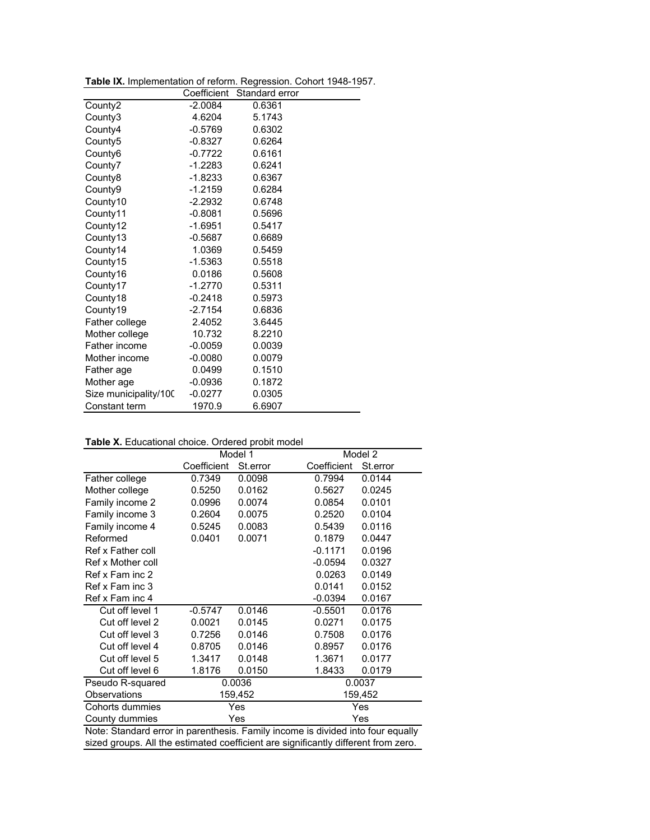**Table IX.** Implementation of reform. Regression. Cohort 1948-1957.

|                       | Coefficient | Standard error |  |
|-----------------------|-------------|----------------|--|
| County2               | $-2.0084$   | 0.6361         |  |
| County3               | 4.6204      | 5.1743         |  |
| County4               | $-0.5769$   | 0.6302         |  |
| County <sub>5</sub>   | $-0.8327$   | 0.6264         |  |
| County6               | $-0.7722$   | 0.6161         |  |
| County7               | $-1.2283$   | 0.6241         |  |
| County8               | $-1.8233$   | 0.6367         |  |
| County9               | $-1.2159$   | 0.6284         |  |
| County10              | $-2.2932$   | 0.6748         |  |
| County11              | $-0.8081$   | 0.5696         |  |
| County12              | $-1.6951$   | 0.5417         |  |
| County13              | $-0.5687$   | 0.6689         |  |
| County14              | 1.0369      | 0.5459         |  |
| County15              | $-1.5363$   | 0.5518         |  |
| County16              | 0.0186      | 0.5608         |  |
| County17              | $-1.2770$   | 0.5311         |  |
| County18              | $-0.2418$   | 0.5973         |  |
| County19              | $-2.7154$   | 0.6836         |  |
| Father college        | 2.4052      | 3.6445         |  |
| Mother college        | 10.732      | 8.2210         |  |
| Father income         | $-0.0059$   | 0.0039         |  |
| Mother income         | $-0.0080$   | 0.0079         |  |
| Father age            | 0.0499      | 0.1510         |  |
| Mother age            | $-0.0936$   | 0.1872         |  |
| Size municipality/100 | $-0.0277$   | 0.0305         |  |
| Constant term         | 1970.9      | 6.6907         |  |

#### **Table X.** Educational choice. Ordered probit model

|                                                                                    | <b>Table A.</b> Ludcational choice. Ordered probit model<br>Model 1<br>Model 2 |         |                     |  |  |
|------------------------------------------------------------------------------------|--------------------------------------------------------------------------------|---------|---------------------|--|--|
| Coefficient<br>Coefficient<br>St.error<br>St.error                                 |                                                                                |         |                     |  |  |
| Father college                                                                     | 0.7349                                                                         | 0.0098  | 0.7994<br>0.0144    |  |  |
| Mother college                                                                     | 0.5250                                                                         | 0.0162  | 0.5627<br>0.0245    |  |  |
| Family income 2                                                                    | 0.0996                                                                         | 0.0074  | 0.0101<br>0.0854    |  |  |
| Family income 3                                                                    | 0.2604                                                                         | 0.0075  | 0.0104<br>0.2520    |  |  |
| Family income 4                                                                    | 0.5245                                                                         | 0.0083  | 0.0116<br>0.5439    |  |  |
| Reformed                                                                           | 0.0401                                                                         | 0.0071  | 0.1879<br>0.0447    |  |  |
| Ref x Father coll                                                                  |                                                                                |         | $-0.1171$<br>0.0196 |  |  |
| Ref x Mother coll                                                                  |                                                                                |         | $-0.0594$<br>0.0327 |  |  |
| Ref x Fam inc 2                                                                    |                                                                                |         | 0.0263<br>0.0149    |  |  |
| Ref x Fam inc 3                                                                    |                                                                                |         | 0.0141<br>0.0152    |  |  |
| Ref x Fam inc 4                                                                    |                                                                                |         | $-0.0394$<br>0.0167 |  |  |
| Cut off level 1                                                                    | $-0.5747$                                                                      | 0.0146  | $-0.5501$<br>0.0176 |  |  |
| Cut off level 2                                                                    | 0.0021                                                                         | 0.0145  | 0.0175<br>0.0271    |  |  |
| Cut off level 3                                                                    | 0.7256                                                                         | 0.0146  | 0.7508<br>0.0176    |  |  |
| Cut off level 4                                                                    | 0.8705                                                                         | 0.0146  | 0.0176<br>0.8957    |  |  |
| Cut off level 5                                                                    | 1.3417                                                                         | 0.0148  | 1.3671<br>0.0177    |  |  |
| Cut off level 6                                                                    | 1.8176                                                                         | 0.0150  | 1.8433<br>0.0179    |  |  |
| Pseudo R-squared                                                                   |                                                                                | 0.0036  | 0.0037              |  |  |
| Observations                                                                       |                                                                                | 159,452 | 159,452             |  |  |
| Cohorts dummies                                                                    |                                                                                | Yes     | Yes                 |  |  |
| County dummies                                                                     | Yes<br>Yes                                                                     |         |                     |  |  |
| Note: Standard error in parenthesis. Family income is divided into four equally    |                                                                                |         |                     |  |  |
| sized groups. All the estimated coefficient are significantly different from zero. |                                                                                |         |                     |  |  |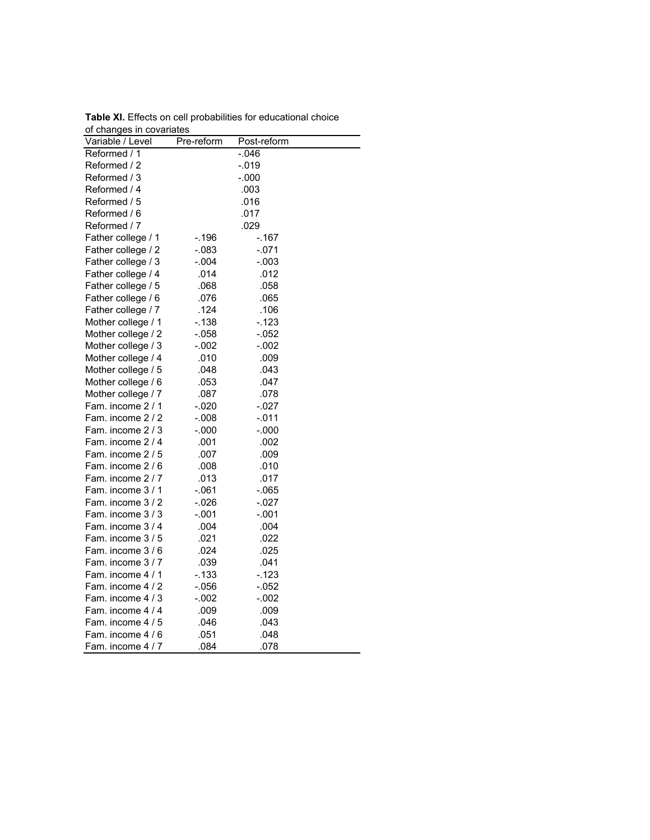| ui unanyes in cuvanales |            |             |  |
|-------------------------|------------|-------------|--|
| Variable / Level        | Pre-reform | Post-reform |  |
| Reformed / 1            |            | -.046       |  |
| Reformed / 2            |            | $-0.19$     |  |
| Reformed / 3            |            | $-.000$     |  |
| Reformed / 4            |            | .003        |  |
| Reformed / 5            |            | .016        |  |
| Reformed / 6            |            | .017        |  |
| Reformed / 7            |            | .029        |  |
| Father college / 1      | -.196      | -.167       |  |
| Father college / 2      | $-.083$    | $-.071$     |  |
| Father college / 3      | -.004      | -.003       |  |
| Father college / 4      | .014       | .012        |  |
| Father college / 5      | .068       | .058        |  |
| Father college / 6      | .076       | .065        |  |
| Father college / 7      | .124       | .106        |  |
| Mother college / 1      | $-138$     | $-0.123$    |  |
| Mother college / 2      | $-.058$    | $-.052$     |  |
| Mother college / 3      | $-.002$    | $-.002$     |  |
| Mother college / 4      | .010       | .009        |  |
| Mother college / 5      | .048       | .043        |  |
| Mother college / 6      | .053       | .047        |  |
| Mother college / 7      | .087       | .078        |  |
| Fam. income 2 / 1       | $-.020$    | $-.027$     |  |
| Fam. income 2 / 2       | -.008      | -.011       |  |
| Fam. income 2 / 3       | $-.000$    | $-.000$     |  |
| Fam. income 2 / 4       | .001       | .002        |  |
| Fam. income 2 / 5       | .007       | .009        |  |
| Fam. income 2 / 6       | .008       | .010        |  |
| Fam. income 2 / 7       | .013       | .017        |  |
| Fam. income 3 / 1       | -.061      | $-065$      |  |
| Fam. income 3 / 2       | -.026      | $-.027$     |  |
| Fam. income 3 / 3       | $-.001$    | -.001       |  |
| Fam. income 3 / 4       | .004       | .004        |  |
| Fam. income 3 / 5       | .021       | .022        |  |
| Fam. income 3 / 6       | .024       | .025        |  |
| Fam. income 3 / 7       | .039       | .041        |  |
| Fam. income 4 / 1       | $-133$     | $-123$      |  |
| Fam. income 4 / 2       | -.056      | $-.052$     |  |
| Fam. income 4 / 3       | $-.002$    | $-.002$     |  |
| Fam. income 4 / 4       | .009       | .009        |  |
| Fam. income 4 / 5       | .046       | .043        |  |
| Fam. income 4 / 6       | .051       | .048        |  |
| Fam. income 4 / 7       | .084       | .078        |  |

**Table XI.** Effects on cell probabilities for educational choice of changes in covariates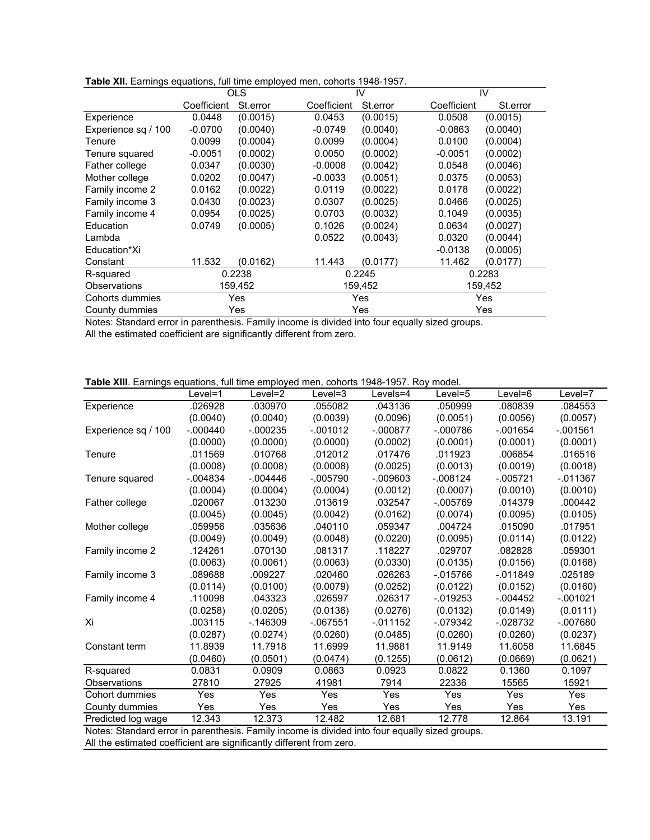| Table XII. Earnings equations, full time employed men, cohorts 1948-1957. |
|---------------------------------------------------------------------------|
|---------------------------------------------------------------------------|

|                     |             | <b>OLS</b> |             | IV         |             | IV       |
|---------------------|-------------|------------|-------------|------------|-------------|----------|
|                     | Coefficient | St.error   | Coefficient | St.error   | Coefficient | St.error |
| Experience          | 0.0448      | (0.0015)   | 0.0453      | (0.0015)   | 0.0508      | (0.0015) |
| Experience sq / 100 | $-0.0700$   | (0.0040)   | $-0.0749$   | (0.0040)   | $-0.0863$   | (0.0040) |
| Tenure              | 0.0099      | (0.0004)   | 0.0099      | (0.0004)   | 0.0100      | (0.0004) |
| Tenure squared      | $-0.0051$   | (0.0002)   | 0.0050      | (0.0002)   | $-0.0051$   | (0.0002) |
| Father college      | 0.0347      | (0.0030)   | $-0.0008$   | (0.0042)   | 0.0548      | (0.0046) |
| Mother college      | 0.0202      | (0.0047)   | $-0.0033$   | (0.0051)   | 0.0375      | (0.0053) |
| Family income 2     | 0.0162      | (0.0022)   | 0.0119      | (0.0022)   | 0.0178      | (0.0022) |
| Family income 3     | 0.0430      | (0.0023)   | 0.0307      | (0.0025)   | 0.0466      | (0.0025) |
| Family income 4     | 0.0954      | (0.0025)   | 0.0703      | (0.0032)   | 0.1049      | (0.0035) |
| Education           | 0.0749      | (0.0005)   | 0.1026      | (0.0024)   | 0.0634      | (0.0027) |
| Lambda              |             |            | 0.0522      | (0.0043)   | 0.0320      | (0.0044) |
| Education*Xi        |             |            |             |            | $-0.0138$   | (0.0005) |
| Constant            | 11.532      | (0.0162)   | 11.443      | (0.0177)   | 11.462      | (0.0177) |
| R-squared           | 0.2238      |            |             | 0.2245     |             | 0.2283   |
| Observations        | 159,452     |            |             | 159,452    |             | 159,452  |
| Cohorts dummies     |             | Yes        |             | Yes        |             | Yes      |
| County dummies      |             | Yes        |             | Yes<br>Yes |             |          |

Notes: Standard error in parenthesis. Family income is divided into four equally sized groups. All the estimated coefficient are significantly different from zero.

| Table XIII. Earnings equations, full time employed men, cohorts 1948-1957. Roy model. |  |  |  |  |  |
|---------------------------------------------------------------------------------------|--|--|--|--|--|
|                                                                                       |  |  |  |  |  |

|                                                                                               | Level=1    | Level=2     | Level=3    | Levels=4   | Level=5     | Level=6    | Level=7    |
|-----------------------------------------------------------------------------------------------|------------|-------------|------------|------------|-------------|------------|------------|
| Experience                                                                                    | .026928    | .030970     | .055082    | .043136    | .050999     | .080839    | .084553    |
|                                                                                               | (0.0040)   | (0.0040)    | (0.0039)   | (0.0096)   | (0.0051)    | (0.0056)   | (0.0057)   |
| Experience sq / 100                                                                           | $-.000440$ | $-000235$   | $-001012$  | $-.000877$ | $-.000786$  | $-.001654$ | $-001561$  |
|                                                                                               | (0.0000)   | (0.0000)    | (0.0000)   | (0.0002)   | (0.0001)    | (0.0001)   | (0.0001)   |
| Tenure                                                                                        | .011569    | .010768     | .012012    | .017476    | .011923     | .006854    | .016516    |
|                                                                                               | (0.0008)   | (0.0008)    | (0.0008)   | (0.0025)   | (0.0013)    | (0.0019)   | (0.0018)   |
| Tenure squared                                                                                | $-.004834$ | $-0.004446$ | $-.005790$ | $-0.09603$ | $-.008124$  | $-.005721$ | $-011367$  |
|                                                                                               | (0.0004)   | (0.0004)    | (0.0004)   | (0.0012)   | (0.0007)    | (0.0010)   | (0.0010)   |
| Father college                                                                                | .020067    | .013230     | .013619    | .032547    | $-.005769$  | .014379    | .000442    |
|                                                                                               | (0.0045)   | (0.0045)    | (0.0042)   | (0.0162)   | (0.0074)    | (0.0095)   | (0.0105)   |
| Mother college                                                                                | .059956    | .035636     | .040110    | .059347    | .004724     | .015090    | .017951    |
|                                                                                               | (0.0049)   | (0.0049)    | (0.0048)   | (0.0220)   | (0.0095)    | (0.0114)   | (0.0122)   |
| Family income 2                                                                               | .124261    | .070130     | .081317    | .118227    | .029707     | .082828    | .059301    |
|                                                                                               | (0.0063)   | (0.0061)    | (0.0063)   | (0.0330)   | (0.0135)    | (0.0156)   | (0.0168)   |
| Family income 3                                                                               | .089688    | .009227     | .020460    | .026263    | $-0.015766$ | $-011849$  | .025189    |
|                                                                                               | (0.0114)   | (0.0100)    | (0.0079)   | (0.0252)   | (0.0122)    | (0.0152)   | (0.0160)   |
| Family income 4                                                                               | .110098    | .043323     | .026597    | .026317    | $-0.019253$ | $-0.04452$ | $-.001021$ |
|                                                                                               | (0.0258)   | (0.0205)    | (0.0136)   | (0.0276)   | (0.0132)    | (0.0149)   | (0.0111)   |
| Xi                                                                                            | .003115    | $-146309$   | $-067551$  | $-011152$  | $-079342$   | $-028732$  | $-007680$  |
|                                                                                               | (0.0287)   | (0.0274)    | (0.0260)   | (0.0485)   | (0.0260)    | (0.0260)   | (0.0237)   |
| Constant term                                                                                 | 11.8939    | 11.7918     | 11.6999    | 11.9881    | 11.9149     | 11.6058    | 11.6845    |
|                                                                                               | (0.0460)   | (0.0501)    | (0.0474)   | (0.1255)   | (0.0612)    | (0.0669)   | (0.0621)   |
| R-squared                                                                                     | 0.0831     | 0.0909      | 0.0863     | 0.0923     | 0.0822      | 0.1360     | 0.1097     |
| Observations                                                                                  | 27810      | 27925       | 41981      | 7914       | 22336       | 15565      | 15921      |
| Cohort dummies                                                                                | Yes        | Yes         | Yes        | Yes        | Yes         | Yes        | Yes        |
| County dummies                                                                                | Yes        | Yes         | Yes        | Yes        | Yes         | Yes        | Yes        |
| Predicted log wage                                                                            | 12.343     | 12.373      | 12.482     | 12.681     | 12.778      | 12.864     | 13.191     |
| Notes: Standard error in narenthesis. Family income is divided into four equally sized groups |            |             |            |            |             |            |            |

Notes: Standard error in parenthesis. Family income is divided into four equally sized groups. All the estimated coefficient are significantly different from zero.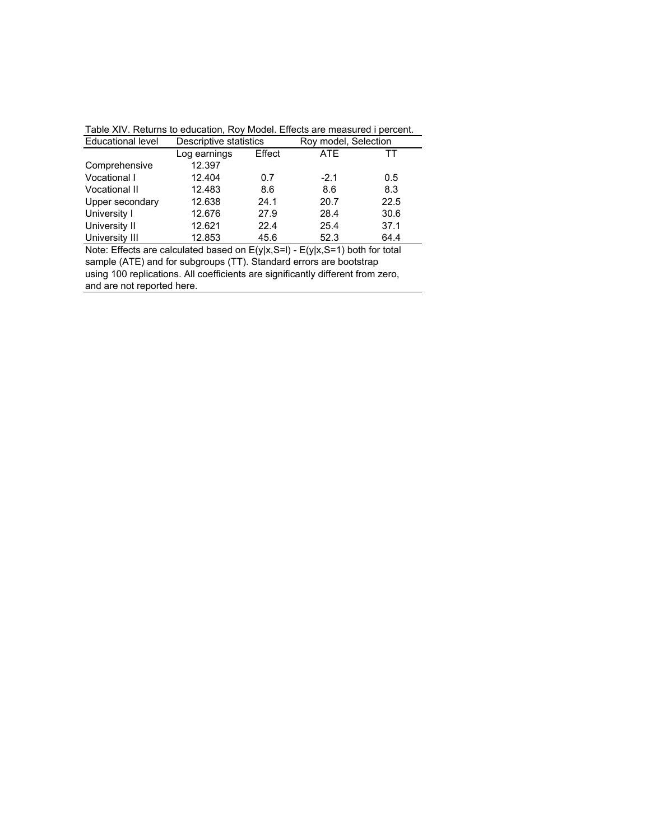| $\sim$ 0.000 $\sim$ 0.000 $\sim$ 0.000 $\sim$ 0.000 $\sim$ 0.000 $\sim$ 0.000 $\sim$ 0.000 $\sim$ 0.000 $\sim$ 0.000 $\sim$ 0.000 $\sim$ 0.000 $\sim$ 0.000 $\sim$ 0.000 $\sim$ 0.000 $\sim$ 0.000 $\sim$ 0.000 $\sim$ 0.000 $\sim$ 0.000 $\sim$ 0.000 $\sim$ 0.000 |                        |        |                      |      |  |  |  |
|---------------------------------------------------------------------------------------------------------------------------------------------------------------------------------------------------------------------------------------------------------------------|------------------------|--------|----------------------|------|--|--|--|
| <b>Educational level</b>                                                                                                                                                                                                                                            | Descriptive statistics |        | Roy model, Selection |      |  |  |  |
|                                                                                                                                                                                                                                                                     | Log earnings           | Effect | <b>ATE</b>           |      |  |  |  |
| Comprehensive                                                                                                                                                                                                                                                       | 12.397                 |        |                      |      |  |  |  |
| Vocational I                                                                                                                                                                                                                                                        | 12.404                 | 0.7    | $-2.1$               | 0.5  |  |  |  |
| Vocational II                                                                                                                                                                                                                                                       | 12.483                 | 8.6    | 8.6                  | 8.3  |  |  |  |
| Upper secondary                                                                                                                                                                                                                                                     | 12.638                 | 24.1   | 20.7                 | 22.5 |  |  |  |
| University I                                                                                                                                                                                                                                                        | 12.676                 | 27.9   | 28.4                 | 30.6 |  |  |  |
| University II                                                                                                                                                                                                                                                       | 12.621                 | 22.4   | 25.4                 | 37.1 |  |  |  |
| University III                                                                                                                                                                                                                                                      | 12.853                 | 45.6   | 52.3                 | 64.4 |  |  |  |
| Note: Effects are calculated based on $E(y x,S=1)$ - $E(y x,S=1)$ both for total                                                                                                                                                                                    |                        |        |                      |      |  |  |  |

Table XIV. Returns to education, Roy Model. Effects are measured i percent.

and are not reported here. sample (ATE) and for subgroups (TT). Standard errors are bootstrap using 100 replications. All coefficients are significantly different from zero,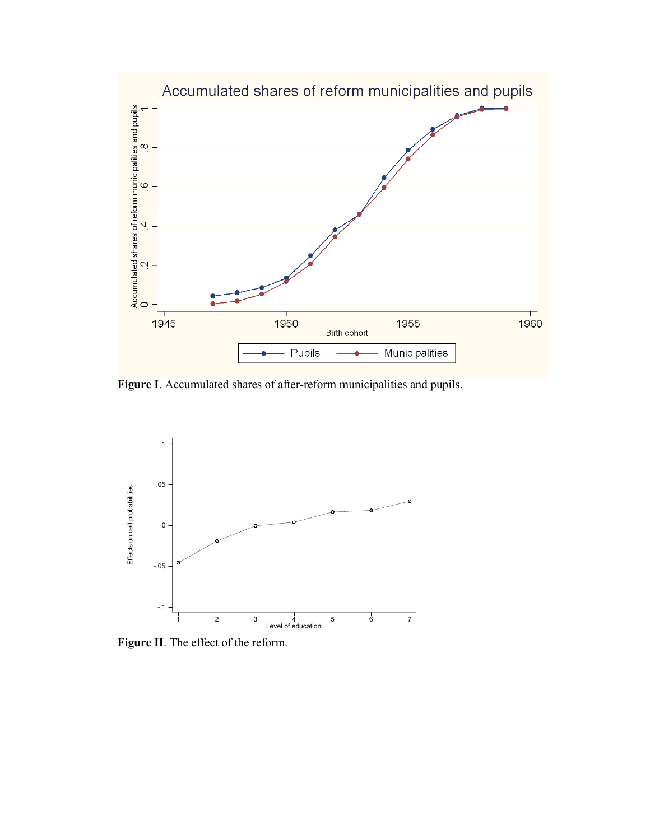

**Figure I**. Accumulated shares of after-reform municipalities and pupils.



**Figure II**. The effect of the reform.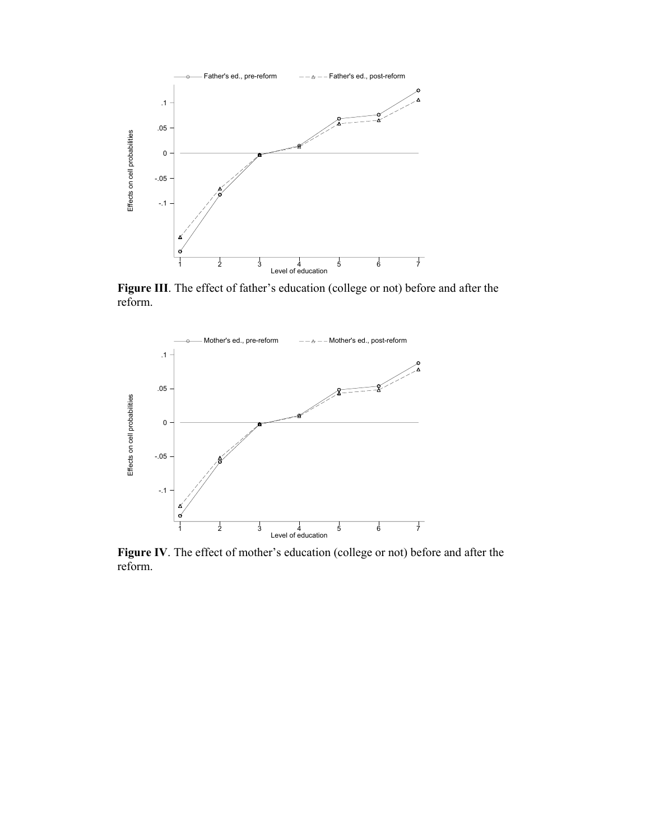

**Figure III**. The effect of father's education (college or not) before and after the reform.



**Figure IV**. The effect of mother's education (college or not) before and after the reform.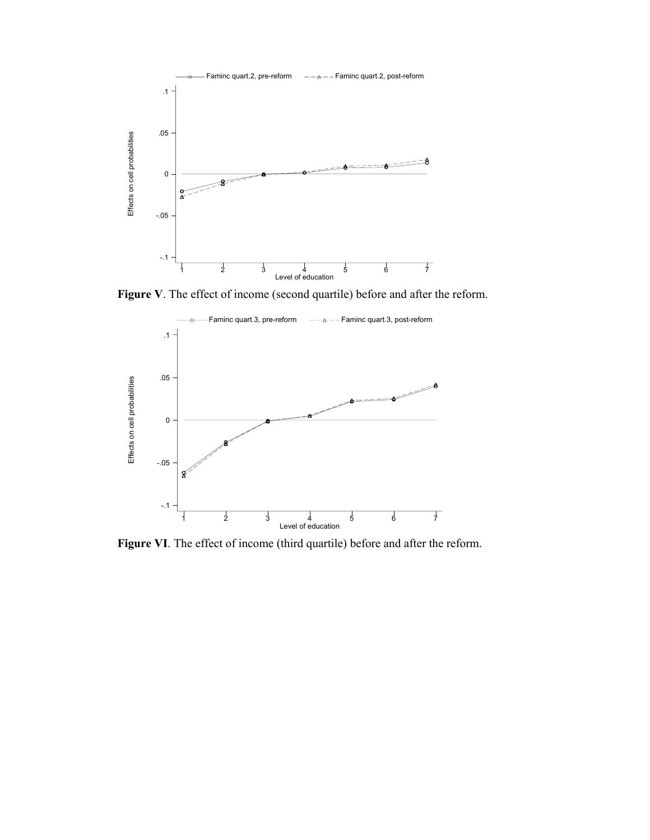

**Figure V**. The effect of income (second quartile) before and after the reform.



**Figure VI**. The effect of income (third quartile) before and after the reform.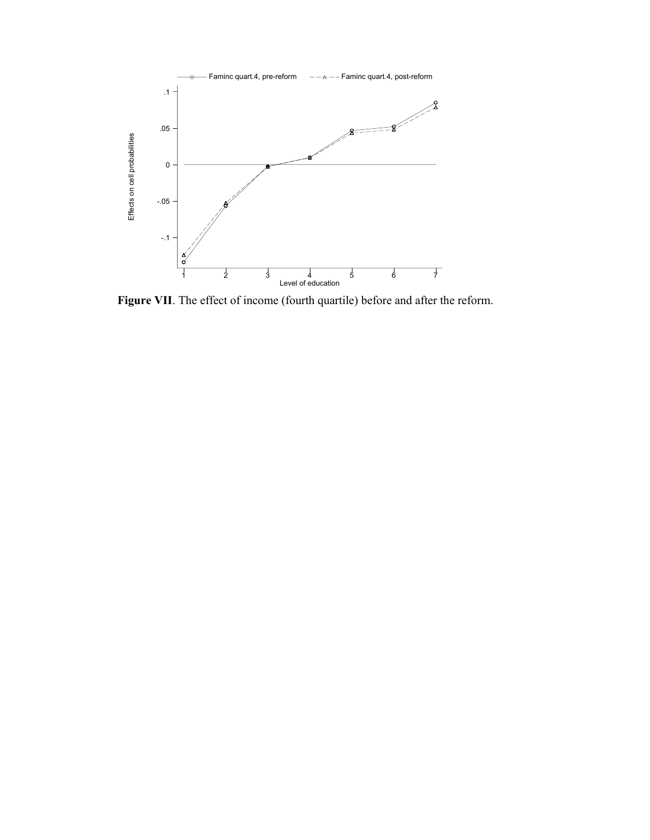

**Figure VII**. The effect of income (fourth quartile) before and after the reform.